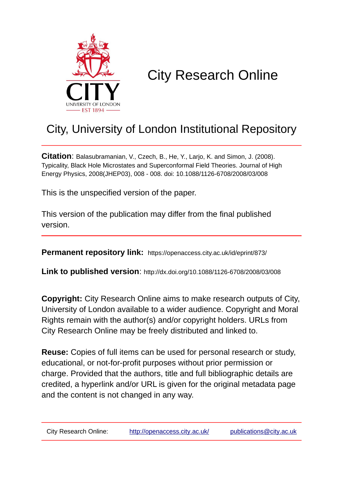

# City Research Online

# City, University of London Institutional Repository

**Citation**: Balasubramanian, V., Czech, B., He, Y., Larjo, K. and Simon, J. (2008). Typicality, Black Hole Microstates and Superconformal Field Theories. Journal of High Energy Physics, 2008(JHEP03), 008 - 008. doi: 10.1088/1126-6708/2008/03/008

This is the unspecified version of the paper.

This version of the publication may differ from the final published version.

**Permanent repository link:** https://openaccess.city.ac.uk/id/eprint/873/

**Link to published version**: http://dx.doi.org/10.1088/1126-6708/2008/03/008

**Copyright:** City Research Online aims to make research outputs of City, University of London available to a wider audience. Copyright and Moral Rights remain with the author(s) and/or copyright holders. URLs from City Research Online may be freely distributed and linked to.

**Reuse:** Copies of full items can be used for personal research or study, educational, or not-for-profit purposes without prior permission or charge. Provided that the authors, title and full bibliographic details are credited, a hyperlink and/or URL is given for the original metadata page and the content is not changed in any way.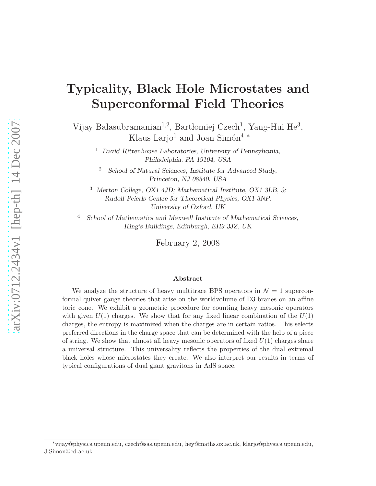# Typicality, Black Hole Microstates and Superconformal Field Theories

Vijay Balasubramanian<sup>1,2</sup>, Bartłomiej Czech<sup>1</sup>, Yang-Hui He<sup>3</sup>, Klaus Larjo<sup>1</sup> and Joan Simón<sup>4</sup>  $*$ 

<sup>1</sup> David Rittenhouse Laboratories, University of Pennsylvania, Philadelphia, PA 19104, USA

<sup>2</sup> School of Natural Sciences, Institute for Advanced Study, Princeton, NJ 08540, USA

<sup>3</sup> Merton College, OX1 4JD; Mathematical Institute, OX1 3LB, & Rudolf Peierls Centre for Theoretical Physics, OX1 3NP, University of Oxford, UK

<sup>4</sup> School of Mathematics and Maxwell Institute of Mathematical Sciences, King's Buildings, Edinburgh, EH9 3JZ, UK

February 2, 2008

#### Abstract

We analyze the structure of heavy multitrace BPS operators in  $\mathcal{N}=1$  superconformal quiver gauge theories that arise on the worldvolume of D3-branes on an affine toric cone. We exhibit a geometric procedure for counting heavy mesonic operators with given  $U(1)$  charges. We show that for any fixed linear combination of the  $U(1)$ charges, the entropy is maximized when the charges are in certain ratios. This selects preferred directions in the charge space that can be determined with the help of a piece of string. We show that almost all heavy mesonic operators of fixed  $U(1)$  charges share a universal structure. This universality reflects the properties of the dual extremal black holes whose microstates they create. We also interpret our results in terms of typical configurations of dual giant gravitons in AdS space.

<sup>∗</sup>vijay@physics.upenn.edu, czech@sas.upenn.edu, hey@maths.ox.ac.uk, klarjo@physics.upenn.edu, J.Simon@ed.ac.uk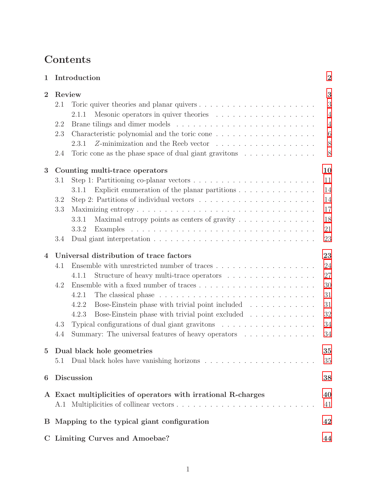# Contents

| 1              | Introduction                                                                                   | $\overline{2}$ |  |  |
|----------------|------------------------------------------------------------------------------------------------|----------------|--|--|
| $\overline{2}$ | Review                                                                                         | 3              |  |  |
|                | 2.1                                                                                            | 3              |  |  |
|                | 2.1.1                                                                                          | $\overline{4}$ |  |  |
|                | 2.2                                                                                            | $\overline{4}$ |  |  |
|                | 2.3                                                                                            | 6              |  |  |
|                | Z-minimization and the Reeb vector $\ldots \ldots \ldots \ldots \ldots \ldots$<br>2.3.1        | 8              |  |  |
|                | Toric cone as the phase space of dual giant gravitons $\ldots \ldots \ldots \ldots$<br>2.4     | 8              |  |  |
| 3              | Counting multi-trace operators                                                                 | 10             |  |  |
|                | 3.1                                                                                            | 11             |  |  |
|                | Explicit enumeration of the planar partitions $\ldots \ldots \ldots \ldots$<br>3.1.1           | 14             |  |  |
|                | 3.2                                                                                            | 14             |  |  |
|                | 3.3                                                                                            | 17             |  |  |
|                | Maximal entropy points as centers of gravity<br>3.3.1                                          | 18             |  |  |
|                | 3.3.2                                                                                          | 21             |  |  |
|                | 3.4                                                                                            | 23             |  |  |
| 4              | Universal distribution of trace factors                                                        | 23             |  |  |
|                | Ensemble with unrestricted number of traces $\dots \dots \dots \dots \dots \dots \dots$<br>4.1 | 24             |  |  |
|                | Structure of heavy multi-trace operators<br>4.1.1                                              | 27             |  |  |
|                | 4.2                                                                                            | 30             |  |  |
|                | 4.2.1                                                                                          | 31             |  |  |
|                | Bose-Einstein phase with trivial point included $\ldots \ldots \ldots$<br>4.2.2                | 31             |  |  |
|                | Bose-Einstein phase with trivial point excluded<br>4.2.3                                       | 32             |  |  |
|                | Typical configurations of dual giant gravitons $\dots \dots \dots \dots \dots \dots$<br>4.3    | 34             |  |  |
|                | Summary: The universal features of heavy operators<br>4.4                                      | 34             |  |  |
|                |                                                                                                |                |  |  |
| $\mathbf{5}$   | Dual black hole geometries                                                                     | 35             |  |  |
|                | 5.1                                                                                            | 35             |  |  |
| 6              | <b>Discussion</b><br>38                                                                        |                |  |  |
|                | A Exact multiplicities of operators with irrational R-charges                                  | 40             |  |  |
|                |                                                                                                | 41             |  |  |
|                | B Mapping to the typical giant configuration<br>42                                             |                |  |  |
|                | C Limiting Curves and Amoebae?<br>44                                                           |                |  |  |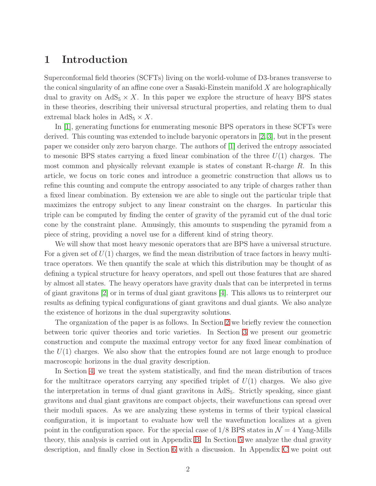# <span id="page-3-0"></span>1 Introduction

Superconformal field theories (SCFTs) living on the world-volume of D3-branes transverse to the conical singularity of an affine cone over a Sasaki-Einstein manifold  $X$  are holographically dual to gravity on  $AdS_5 \times X$ . In this paper we explore the structure of heavy BPS states in these theories, describing their universal structural properties, and relating them to dual extremal black holes in  $AdS_5 \times X$ .

In [\[1\]](#page-46-0), generating functions for enumerating mesonic BPS operators in these SCFTs were derived. This counting was extended to include baryonic operators in [\[2,](#page-46-1) [3\]](#page-46-2), but in the present paper we consider only zero baryon charge. The authors of [\[1\]](#page-46-0) derived the entropy associated to mesonic BPS states carrying a fixed linear combination of the three  $U(1)$  charges. The most common and physically relevant example is states of constant R-charge  $R$ . In this article, we focus on toric cones and introduce a geometric construction that allows us to refine this counting and compute the entropy associated to any triple of charges rather than a fixed linear combination. By extension we are able to single out the particular triple that maximizes the entropy subject to any linear constraint on the charges. In particular this triple can be computed by finding the center of gravity of the pyramid cut of the dual toric cone by the constraint plane. Amusingly, this amounts to suspending the pyramid from a piece of string, providing a novel use for a different kind of string theory.

We will show that most heavy mesonic operators that are BPS have a universal structure. For a given set of  $U(1)$  charges, we find the mean distribution of trace factors in heavy multitrace operators. We then quantify the scale at which this distribution may be thought of as defining a typical structure for heavy operators, and spell out those features that are shared by almost all states. The heavy operators have gravity duals that can be interpreted in terms of giant gravitons [\[2\]](#page-46-1) or in terms of dual giant gravitons [\[4\]](#page-47-0). This allows us to reinterpret our results as defining typical configurations of giant gravitons and dual giants. We also analyze the existence of horizons in the dual supergravity solutions.

The organization of the paper is as follows. In Section [2](#page-4-0) we briefly review the connection between toric quiver theories and toric varieties. In Section [3](#page-11-0) we present our geometric construction and compute the maximal entropy vector for any fixed linear combination of the  $U(1)$  charges. We also show that the entropies found are not large enough to produce macroscopic horizons in the dual gravity description.

In Section [4,](#page-24-1) we treat the system statistically, and find the mean distribution of traces for the multitrace operators carrying any specified triplet of  $U(1)$  charges. We also give the interpretation in terms of dual giant gravitons in  $AdS<sub>5</sub>$ . Strictly speaking, since giant gravitons and dual giant gravitons are compact objects, their wavefunctions can spread over their moduli spaces. As we are analyzing these systems in terms of their typical classical configuration, it is important to evaluate how well the wavefunction localizes at a given point in the configuration space. For the special case of  $1/8$  BPS states in  $\mathcal{N}=4$  Yang-Mills theory, this analysis is carried out in Appendix [B.](#page-43-0) In Section [5](#page-36-0) we analyze the dual gravity description, and finally close in Section [6](#page-39-0) with a discussion. In Appendix [C](#page-45-0) we point out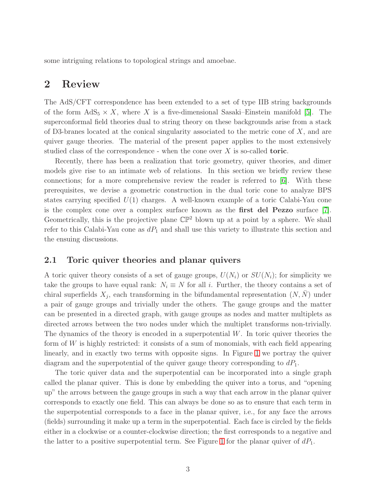<span id="page-4-0"></span>some intriguing relations to topological strings and amoebae.

## 2 Review

The AdS/CFT correspondence has been extended to a set of type IIB string backgrounds of the form  $AdS_5 \times X$ , where X is a five-dimensional Sasaki–Einstein manifold [\[5\]](#page-47-1). The superconformal field theories dual to string theory on these backgrounds arise from a stack of D3-branes located at the conical singularity associated to the metric cone of  $X$ , and are quiver gauge theories. The material of the present paper applies to the most extensively studied class of the correspondence - when the cone over  $X$  is so-called toric.

Recently, there has been a realization that toric geometry, quiver theories, and dimer models give rise to an intimate web of relations. In this section we briefly review these connections; for a more comprehensive review the reader is referred to [\[6\]](#page-47-2). With these prerequisites, we devise a geometric construction in the dual toric cone to analyze BPS states carrying specified  $U(1)$  charges. A well-known example of a toric Calabi-Yau cone is the complex cone over a complex surface known as the first del Pezzo surface [\[7\]](#page-47-3). Geometrically, this is the projective plane  $\mathbb{CP}^2$  blown up at a point by a sphere. We shall refer to this Calabi-Yau cone as  $dP_1$  and shall use this variety to illustrate this section and the ensuing discussions.

### <span id="page-4-1"></span>2.1 Toric quiver theories and planar quivers

A toric quiver theory consists of a set of gauge groups,  $U(N_i)$  or  $SU(N_i)$ ; for simplicity we take the groups to have equal rank:  $N_i \equiv N$  for all i. Further, the theory contains a set of chiral superfields  $X_j$ , each transforming in the bifundamental representation  $(N, \overline{N})$  under a pair of gauge groups and trivially under the others. The gauge groups and the matter can be presented in a directed graph, with gauge groups as nodes and matter multiplets as directed arrows between the two nodes under which the multiplet transforms non-trivially. The dynamics of the theory is encoded in a superpotential W. In toric quiver theories the form of  $W$  is highly restricted: it consists of a sum of monomials, with each field appearing linearly, and in exactly two terms with opposite signs. In Figure [1](#page-5-2) we portray the quiver diagram and the superpotential of the quiver gauge theory corresponding to  $dP_1$ .

The toric quiver data and the superpotential can be incorporated into a single graph called the planar quiver. This is done by embedding the quiver into a torus, and "opening up" the arrows between the gauge groups in such a way that each arrow in the planar quiver corresponds to exactly one field. This can always be done so as to ensure that each term in the superpotential corresponds to a face in the planar quiver, i.e., for any face the arrows (fields) surrounding it make up a term in the superpotential. Each face is circled by the fields either in a clockwise or a counter-clockwise direction; the first corresponds to a negative and the latter to a positive superpotential term. See Figure [1](#page-5-2) for the planar quiver of  $dP_1$ .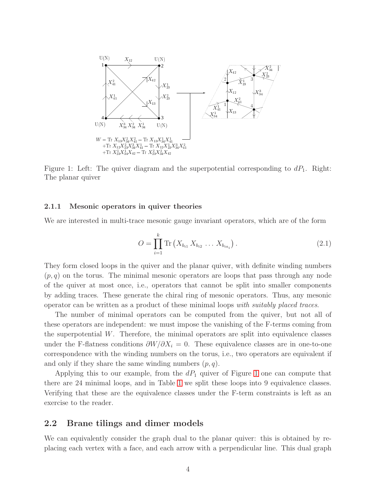

<span id="page-5-2"></span>Figure 1: Left: The quiver diagram and the superpotential corresponding to  $dP_1$ . Right: The planar quiver

#### <span id="page-5-0"></span>2.1.1 Mesonic operators in quiver theories

We are interested in multi-trace mesonic gauge invariant operators, which are of the form

<span id="page-5-3"></span>
$$
O = \prod_{i=1}^{k} \text{Tr}\left(X_{b_{i1}} X_{b_{i2}} \dots X_{b_{ia_i}}\right). \tag{2.1}
$$

They form closed loops in the quiver and the planar quiver, with definite winding numbers  $(p, q)$  on the torus. The minimal mesonic operators are loops that pass through any node of the quiver at most once, i.e., operators that cannot be split into smaller components by adding traces. These generate the chiral ring of mesonic operators. Thus, any mesonic operator can be written as a product of these minimal loops with suitably placed traces.

The number of minimal operators can be computed from the quiver, but not all of these operators are independent: we must impose the vanishing of the F-terms coming from the superpotential  $W$ . Therefore, the minimal operators are split into equivalence classes under the F-flatness conditions  $\partial W/\partial X_i = 0$ . These equivalence classes are in one-to-one correspondence with the winding numbers on the torus, i.e., two operators are equivalent if and only if they share the same winding numbers  $(p, q)$ .

Applying this to our example, from the  $dP_1$  quiver of Figure [1](#page-5-2) one can compute that there are 24 minimal loops, and in Table [1](#page-6-0) we split these loops into 9 equivalence classes. Verifying that these are the equivalence classes under the F-term constraints is left as an exercise to the reader.

#### <span id="page-5-1"></span>2.2 Brane tilings and dimer models

We can equivalently consider the graph dual to the planar quiver: this is obtained by replacing each vertex with a face, and each arrow with a perpendicular line. This dual graph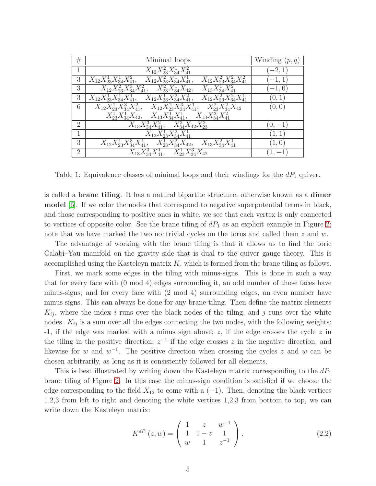| $_{\#}$        | Minimal loops                                                                                                         | Winding $(p, q)$ |
|----------------|-----------------------------------------------------------------------------------------------------------------------|------------------|
|                | $X_{12}X_{23}^2X_{34}^1X_{41}^2$                                                                                      | 2,               |
| 3              | $X_{12}X_{23}^2X_{34}^1X_{41}^1,$<br>$X_{12}X_{23}^1X_{34}^1X_{41}^2$<br>$X_{12}X_{23}^2X_{34}^2X_{41}^2$             | $-1,1$           |
| 3              | $X_{12}X_{23}^2X_{34}^3X_{41}^2,$<br>$\overline{X_{23}^2} \overline{X_{34}^1} X_{42}$<br>$X_{13}X_{34}^1X_{41}^2$     |                  |
| 3              | $X_{12}X_{23}^1X_{34}^2X_{41}^2,$<br>$X_{12}X_{23}^2X_{34}^2X_{41}^1$<br>$\overline{X_{12}X_{23}^1}X_{34}^1X_{41}^1,$ | (0, 1)           |
| 6              | $X_{12}X_{23}^1X_{34}^3X_{41}^2$ , $X_{12}X_{23}^2X_{34}^3X_{41}^1$ , $X_{23}^2X_{34}^2X_{42}$                        | (0,0)            |
|                | $X_{23}^1 X_{34}^1 X_{42}$ , $X_{13}^1 X_{34}^1 X_{41}^1$ , $X_{13}^1 X_{34}^2 X_{41}^2$                              |                  |
| $\overline{2}$ | $X_{34}^3 X_{42} X_{23}^2$<br>$\overline{X_{13}X_{34}^3X_{41}^2},$                                                    |                  |
| 1              | $\overline{X}_{12}X_{23}^1X_{34}^2X_{41}^1$                                                                           | 1, 1             |
| 3              | $X_{23}^1 X_{34}^2 X_{42}$<br>$X_{13}X_{34}^2X_{41}^1$<br>$X_{12}X_{23}^1X_{34}^3X_{41}^1,$                           | 1,0              |
| $\overline{2}$ | $X_{23}^1 X_{34}^3 X_{42}$<br>$X_{13}X_{34}^3X_{41}^1,$                                                               |                  |

<span id="page-6-0"></span>Table 1: Equivalence classes of minimal loops and their windings for the  $dP_1$  quiver.

is called a brane tiling. It has a natural bipartite structure, otherwise known as a dimer model [\[6\]](#page-47-2). If we color the nodes that correspond to negative superpotential terms in black, and those corresponding to positive ones in white, we see that each vertex is only connected to vertices of opposite color. See the brane tiling of  $dP_1$  as an explicit example in Figure [2;](#page-7-1) note that we have marked the two nontrivial cycles on the torus and called them z and w.

The advantage of working with the brane tiling is that it allows us to find the toric Calabi–Yau manifold on the gravity side that is dual to the quiver gauge theory. This is accomplished using the Kasteleyn matrix  $K$ , which is formed from the brane tiling as follows.

First, we mark some edges in the tiling with minus-signs. This is done in such a way that for every face with (0 mod 4) edges surrounding it, an odd number of those faces have minus-signs; and for every face with (2 mod 4) surrounding edges, an even number have minus signs. This can always be done for any brane tiling. Then define the matrix elements  $K_{ij}$ , where the index i runs over the black nodes of the tiling, and j runs over the white nodes.  $K_{ij}$  is a sum over all the edges connecting the two nodes, with the following weights: -1, if the edge was marked with a minus sign above; z, if the edge crosses the cycle z in the tiling in the positive direction;  $z^{-1}$  if the edge crosses z in the negative direction, and likewise for w and  $w^{-1}$ . The positive direction when crossing the cycles z and w can be chosen arbitrarily, as long as it is consistently followed for all elements.

This is best illustrated by writing down the Kasteleyn matrix corresponding to the  $dP_1$ brane tiling of Figure [2.](#page-7-1) In this case the minus-sign condition is satisfied if we choose the edge corresponding to the field  $X_{12}$  to come with a (−1). Then, denoting the black vertices 1,2,3 from left to right and denoting the white vertices 1,2,3 from bottom to top, we can write down the Kasteleyn matrix:

$$
K^{dP_1}(z, w) = \begin{pmatrix} 1 & z & w^{-1} \\ 1 & 1 - z & 1 \\ w & 1 & z^{-1} \end{pmatrix}.
$$
 (2.2)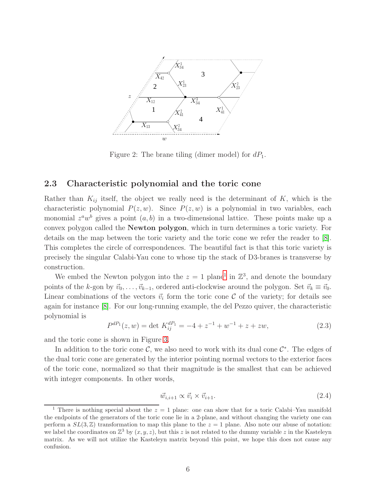

<span id="page-7-1"></span>Figure 2: The brane tiling (dimer model) for  $dP_1$ .

## <span id="page-7-0"></span>2.3 Characteristic polynomial and the toric cone

Rather than  $K_{ij}$  itself, the object we really need is the determinant of K, which is the characteristic polynomial  $P(z, w)$ . Since  $P(z, w)$  is a polynomial in two variables, each monomial  $z^a w^b$  gives a point  $(a, b)$  in a two-dimensional lattice. These points make up a convex polygon called the Newton polygon, which in turn determines a toric variety. For details on the map between the toric variety and the toric cone we refer the reader to [\[8\]](#page-47-4). This completes the circle of correspondences. The beautiful fact is that this toric variety is precisely the singular Calabi-Yau cone to whose tip the stack of D3-branes is transverse by construction.

We embed the Newton polygon into the  $z = 1$  $z = 1$  plane<sup>1</sup> in  $\mathbb{Z}^3$ , and denote the boundary points of the k-gon by  $\vec{v}_0, \ldots, \vec{v}_{k-1}$ , ordered anti-clockwise around the polygon. Set  $\vec{v}_k \equiv \vec{v}_0$ . Linear combinations of the vectors  $\vec{v}_i$  form the toric cone C of the variety; for details see again for instance [\[8\]](#page-47-4). For our long-running example, the del Pezzo quiver, the characteristic polynomial is

$$
P^{dP_1}(z, w) = \det K_{ij}^{dP_1} = -4 + z^{-1} + w^{-1} + z + zw,
$$
\n(2.3)

and the toric cone is shown in Figure [3.](#page-8-0)

In addition to the toric cone  $\mathcal{C}$ , we also need to work with its dual cone  $\mathcal{C}^*$ . The edges of the dual toric cone are generated by the interior pointing normal vectors to the exterior faces of the toric cone, normalized so that their magnitude is the smallest that can be achieved with integer components. In other words,

$$
\vec{w}_{i,i+1} \propto \vec{v}_i \times \vec{v}_{i+1}.
$$
\n(2.4)

<span id="page-7-2"></span><sup>&</sup>lt;sup>1</sup> There is nothing special about the  $z = 1$  plane: one can show that for a toric Calabi–Yau manifold the endpoints of the generators of the toric cone lie in a 2-plane, and without changing the variety one can perform a  $SL(3, \mathbb{Z})$  transformation to map this plane to the  $z = 1$  plane. Also note our abuse of notation: we label the coordinates on  $\mathbb{Z}^3$  by  $(x, y, z)$ , but this z is not related to the dummy variable z in the Kasteleyn matrix. As we will not utilize the Kasteleyn matrix beyond this point, we hope this does not cause any confusion.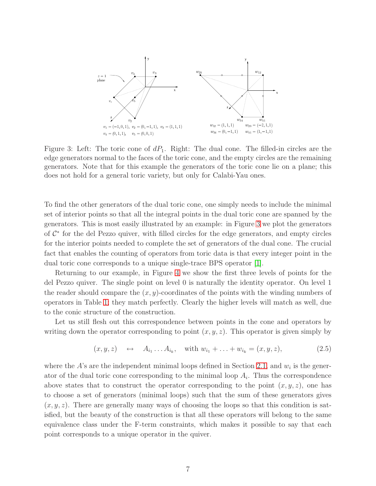

<span id="page-8-0"></span>Figure 3: Left: The toric cone of  $dP_1$ . Right: The dual cone. The filled-in circles are the edge generators normal to the faces of the toric cone, and the empty circles are the remaining generators. Note that for this example the generators of the toric cone lie on a plane; this does not hold for a general toric variety, but only for Calabi-Yau ones.

To find the other generators of the dual toric cone, one simply needs to include the minimal set of interior points so that all the integral points in the dual toric cone are spanned by the generators. This is most easily illustrated by an example: in Figure [3](#page-8-0) we plot the generators of  $\mathcal{C}^*$  for the del Pezzo quiver, with filled circles for the edge generators, and empty circles for the interior points needed to complete the set of generators of the dual cone. The crucial fact that enables the counting of operators from toric data is that every integer point in the dual toric cone corresponds to a unique single-trace BPS operator [\[1\]](#page-46-0).

Returning to our example, in Figure [4](#page-9-2) we show the first three levels of points for the del Pezzo quiver. The single point on level 0 is naturally the identity operator. On level 1 the reader should compare the  $(x, y)$ -coordinates of the points with the winding numbers of operators in Table [1;](#page-6-0) they match perfectly. Clearly the higher levels will match as well, due to the conic structure of the construction.

Let us still flesh out this correspondence between points in the cone and operators by writing down the operator corresponding to point  $(x, y, z)$ . This operator is given simply by

<span id="page-8-1"></span>
$$
(x, y, z) \leftrightarrow A_{i_1} \dots A_{i_k}
$$
, with  $w_{i_1} + \dots + w_{i_k} = (x, y, z)$ , (2.5)

where the  $A$ 's are the independent minimal loops defined in Section [2.1,](#page-4-1) and  $w_i$  is the generator of the dual toric cone corresponding to the minimal loop  $A_i$ . Thus the correspondence above states that to construct the operator corresponding to the point  $(x, y, z)$ , one has to choose a set of generators (minimal loops) such that the sum of these generators gives  $(x, y, z)$ . There are generally many ways of choosing the loops so that this condition is satisfied, but the beauty of the construction is that all these operators will belong to the same equivalence class under the F-term constraints, which makes it possible to say that each point corresponds to a unique operator in the quiver.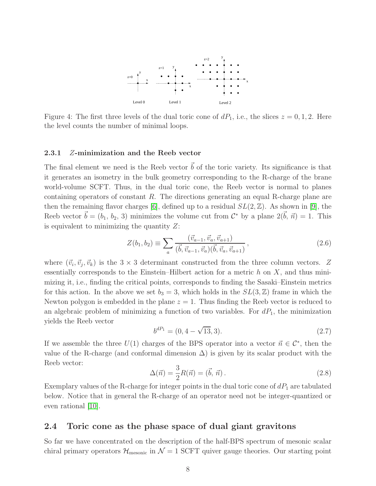

<span id="page-9-2"></span>Figure 4: The first three levels of the dual toric cone of  $dP_1$ , i.e., the slices  $z = 0, 1, 2$ . Here the level counts the number of minimal loops.

#### <span id="page-9-0"></span>2.3.1 Z-minimization and the Reeb vector

The final element we need is the Reeb vector  $\bar{b}$  of the toric variety. Its significance is that it generates an isometry in the bulk geometry corresponding to the R-charge of the brane world-volume SCFT. Thus, in the dual toric cone, the Reeb vector is normal to planes containing operators of constant  $R$ . The directions generating an equal R-charge plane are then the remaining flavor charges [\[6\]](#page-47-2), defined up to a residual  $SL(2, \mathbb{Z})$ . As shown in [\[9\]](#page-47-5), the Reeb vector  $\vec{b} = (b_1, b_2, 3)$  minimizes the volume cut from  $\mathcal{C}^*$  by a plane  $2(\vec{b}, \vec{n}) = 1$ . This is equivalent to minimizing the quantity  $Z$ :

$$
Z(b_1, b_2) \equiv \sum_{a} \frac{(\vec{v}_{a-1}, \vec{v}_{a}, \vec{v}_{a+1})}{(\vec{b}, \vec{v}_{a-1}, \vec{v}_{a})(\vec{b}, \vec{v}_{a}, \vec{v}_{a+1})},
$$
(2.6)

where  $(\vec{v}_i, \vec{v}_j, \vec{v}_k)$  is the 3 × 3 determinant constructed from the three column vectors. Z essentially corresponds to the Einstein–Hilbert action for a metric  $h$  on  $X$ , and thus minimizing it, i.e., finding the critical points, corresponds to finding the Sasaki–Einstein metrics for this action. In the above we set  $b_3 = 3$ , which holds in the  $SL(3, \mathbb{Z})$  frame in which the Newton polygon is embedded in the plane  $z = 1$ . Thus finding the Reeb vector is reduced to an algebraic problem of minimizing a function of two variables. For  $dP_1$ , the minimization yields the Reeb vector

<span id="page-9-3"></span>
$$
b^{dP_1} = (0, 4 - \sqrt{13}, 3). \tag{2.7}
$$

If we assemble the three  $U(1)$  charges of the BPS operator into a vector  $\vec{n} \in C^*$ , then the value of the R-charge (and conformal dimension  $\Delta$ ) is given by its scalar product with the Reeb vector:

$$
\Delta(\vec{n}) = \frac{3}{2}R(\vec{n}) = (\vec{b}, \vec{n}).
$$
\n(2.8)

Exemplary values of the R-charge for integer points in the dual toric cone of  $dP_1$  are tabulated below. Notice that in general the R-charge of an operator need not be integer-quantized or even rational  $|10|$ .

## <span id="page-9-1"></span>2.4 Toric cone as the phase space of dual giant gravitons

So far we have concentrated on the description of the half-BPS spectrum of mesonic scalar chiral primary operators  $\mathcal{H}_{\text{mesonic}}$  in  $\mathcal{N}=1$  SCFT quiver gauge theories. Our starting point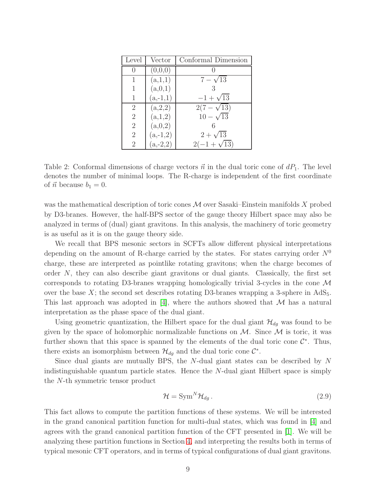| Level          | Vector     | Conformal Dimension    |
|----------------|------------|------------------------|
|                | (0,0,0)    |                        |
|                | (a,1,1)    | $\sqrt{13}$<br>$7-\nu$ |
|                | (a,0,1)    |                        |
| 1              | $(a,-1,1)$ | $-1+\sqrt{13}$         |
| $\overline{2}$ | (a,2,2)    | $2(7 - \sqrt{13})$     |
| $\overline{2}$ | (a,1,2)    | $10 - \sqrt{13}$       |
| $\overline{2}$ | (a,0,2)    |                        |
| $\overline{2}$ | $(a,-1,2)$ | $2 + \sqrt{13}$        |
| $\overline{2}$ | $(a,-2,2)$ | $2(-1+\sqrt{13})$      |

Table 2: Conformal dimensions of charge vectors  $\vec{n}$  in the dual toric cone of  $dP_1$ . The level denotes the number of minimal loops. The R-charge is independent of the first coordinate of  $\vec{n}$  because  $b_1 = 0$ .

was the mathematical description of toric cones  $\mathcal M$  over Sasaki–Einstein manifolds X probed by D3-branes. However, the half-BPS sector of the gauge theory Hilbert space may also be analyzed in terms of (dual) giant gravitons. In this analysis, the machinery of toric geometry is as useful as it is on the gauge theory side.

We recall that BPS mesonic sectors in SCFTs allow different physical interpretations depending on the amount of R-charge carried by the states. For states carrying order  $N^0$ charge, these are interpreted as pointlike rotating gravitons; when the charge becomes of order N, they can also describe giant gravitons or dual giants. Classically, the first set corresponds to rotating D3-branes wrapping homologically trivial 3-cycles in the cone  $\mathcal M$ over the base X; the second set describes rotating D3-branes wrapping a 3-sphere in  $AdS_5$ . This last approach was adopted in  $|4|$ , where the authors showed that M has a natural interpretation as the phase space of the dual giant.

Using geometric quantization, the Hilbert space for the dual giant  $\mathcal{H}_{dg}$  was found to be given by the space of holomorphic normalizable functions on  $\mathcal{M}$ . Since  $\mathcal M$  is toric, it was further shown that this space is spanned by the elements of the dual toric cone  $\mathcal{C}^*$ . Thus, there exists an isomorphism between  $\mathcal{H}_{dg}$  and the dual toric cone  $\mathcal{C}^*$ .

Since dual giants are mutually BPS, the N-dual giant states can be described by N indistinguishable quantum particle states. Hence the N-dual giant Hilbert space is simply the N-th symmetric tensor product

$$
\mathcal{H} = \text{Sym}^N \mathcal{H}_{dg} \,. \tag{2.9}
$$

This fact allows to compute the partition functions of these systems. We will be interested in the grand canonical partition function for multi-dual states, which was found in [\[4\]](#page-47-0) and agrees with the grand canonical partition function of the CFT presented in [\[1\]](#page-46-0). We will be analyzing these partition functions in Section [4,](#page-24-1) and interpreting the results both in terms of typical mesonic CFT operators, and in terms of typical configurations of dual giant gravitons.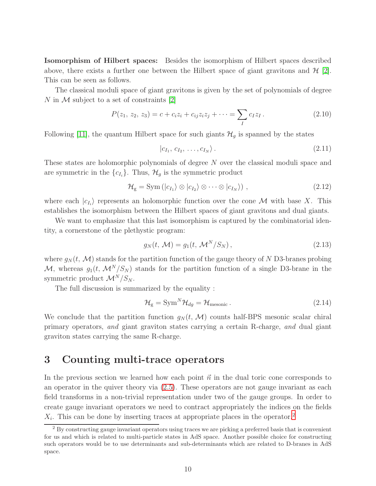Isomorphism of Hilbert spaces: Besides the isomorphism of Hilbert spaces described above, there exists a further one between the Hilbert space of giant gravitons and  $\mathcal{H}$  [\[2\]](#page-46-1). This can be seen as follows.

The classical moduli space of giant gravitons is given by the set of polynomials of degree N in  $\mathcal M$  subject to a set of constraints [\[2\]](#page-46-1)

$$
P(z_1, z_2, z_3) = c + c_i z_i + c_{ij} z_i z_j + \dots = \sum_{I} c_I z_I. \tag{2.10}
$$

Following [\[11\]](#page-47-7), the quantum Hilbert space for such giants  $\mathcal{H}_g$  is spanned by the states

$$
\left|c_{I_1}, c_{I_2}, \ldots, c_{I_N}\right\rangle. \tag{2.11}
$$

These states are holomorphic polynomials of degree N over the classical moduli space and are symmetric in the  ${c_{I_i}}$ . Thus,  $\mathcal{H}_g$  is the symmetric product

$$
\mathcal{H}_{g} = \text{Sym} \left( |c_{I_1} \rangle \otimes |c_{I_2} \rangle \otimes \cdots \otimes |c_{I_N} \rangle \right), \qquad (2.12)
$$

where each  $|c_{I_i}\rangle$  represents an holomorphic function over the cone M with base X. This establishes the isomorphism between the Hilbert spaces of giant gravitons and dual giants.

We want to emphasize that this last isomorphism is captured by the combinatorial identity, a cornerstone of the plethystic program:

<span id="page-11-2"></span>
$$
g_N(t, \mathcal{M}) = g_1(t, \mathcal{M}^N/S_N), \qquad (2.13)
$$

where  $g_N(t, \mathcal{M})$  stands for the partition function of the gauge theory of N D3-branes probing M, whereas  $g_1(t, \mathcal{M}^N/S_N)$  stands for the partition function of a single D3-brane in the symmetric product  $\mathcal{M}^N/S_N$ .

The full discussion is summarized by the equality :

$$
\mathcal{H}_{g} = \text{Sym}^{N} \mathcal{H}_{dg} = \mathcal{H}_{\text{mesonic}}.
$$
\n(2.14)

We conclude that the partition function  $g_N(t, \mathcal{M})$  counts half-BPS mesonic scalar chiral primary operators, and giant graviton states carrying a certain R-charge, and dual giant graviton states carrying the same R-charge.

## <span id="page-11-0"></span>3 Counting multi-trace operators

In the previous section we learned how each point  $\vec{n}$  in the dual toric cone corresponds to an operator in the quiver theory via [\(2.5\)](#page-8-1). These operators are not gauge invariant as each field transforms in a non-trivial representation under two of the gauge groups. In order to create gauge invariant operators we need to contract appropriately the indices on the fields  $X_i$ . This can be done by inserting traces at appropriate places in the operator.<sup>[2](#page-11-1)</sup>

<span id="page-11-1"></span><sup>&</sup>lt;sup>2</sup> By constructing gauge invariant operators using traces we are picking a preferred basis that is convenient for us and which is related to multi-particle states in AdS space. Another possible choice for constructing such operators would be to use determinants and sub-determinants which are related to D-branes in AdS space.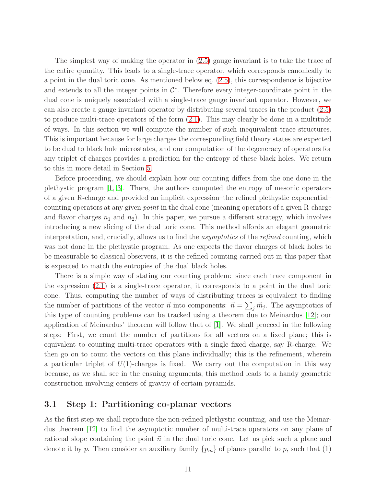The simplest way of making the operator in [\(2.5\)](#page-8-1) gauge invariant is to take the trace of the entire quantity. This leads to a single-trace operator, which corresponds canonically to a point in the dual toric cone. As mentioned below eq. [\(2.5\)](#page-8-1), this correspondence is bijective and extends to all the integer points in  $\mathcal{C}^*$ . Therefore every integer-coordinate point in the dual cone is uniquely associated with a single-trace gauge invariant operator. However, we can also create a gauge invariant operator by distributing several traces in the product [\(2.5\)](#page-8-1) to produce multi-trace operators of the form [\(2.1\)](#page-5-3). This may clearly be done in a multitude of ways. In this section we will compute the number of such inequivalent trace structures. This is important because for large charges the corresponding field theory states are expected to be dual to black hole microstates, and our computation of the degeneracy of operators for any triplet of charges provides a prediction for the entropy of these black holes. We return to this in more detail in Section [5.](#page-36-0)

Before proceeding, we should explain how our counting differs from the one done in the plethystic program [\[1,](#page-46-0) [3\]](#page-46-2). There, the authors computed the entropy of mesonic operators of a given R-charge and provided an implicit expression–the refined plethystic exponential– counting operators at any given *point* in the dual cone (meaning operators of a given R-charge and flavor charges  $n_1$  and  $n_2$ ). In this paper, we pursue a different strategy, which involves introducing a new slicing of the dual toric cone. This method affords an elegant geometric interpretation, and, crucially, allows us to find the *asymptotics* of the *refined* counting, which was not done in the plethystic program. As one expects the flavor charges of black holes to be measurable to classical observers, it is the refined counting carried out in this paper that is expected to match the entropies of the dual black holes.

There is a simple way of stating our counting problem: since each trace component in the expression [\(2.1\)](#page-5-3) is a single-trace operator, it corresponds to a point in the dual toric cone. Thus, computing the number of ways of distributing traces is equivalent to finding the number of partitions of the vector  $\vec{n}$  into components:  $\vec{n} = \sum_j \vec{m}_j$ . The asymptotics of this type of counting problems can be tracked using a theorem due to Meinardus [\[12\]](#page-47-8); our application of Meinardus' theorem will follow that of [\[1\]](#page-46-0). We shall proceed in the following steps: First, we count the number of partitions for all vectors on a fixed plane; this is equivalent to counting multi-trace operators with a single fixed charge, say R-charge. We then go on to count the vectors on this plane individually; this is the refinement, wherein a particular triplet of  $U(1)$ -charges is fixed. We carry out the computation in this way because, as we shall see in the ensuing arguments, this method leads to a handy geometric construction involving centers of gravity of certain pyramids.

## <span id="page-12-0"></span>3.1 Step 1: Partitioning co-planar vectors

As the first step we shall reproduce the non-refined plethystic counting, and use the Meinardus theorem [\[12\]](#page-47-8) to find the asymptotic number of multi-trace operators on any plane of rational slope containing the point  $\vec{n}$  in the dual toric cone. Let us pick such a plane and denote it by p. Then consider an auxiliary family  $\{p_m\}$  of planes parallel to p, such that (1)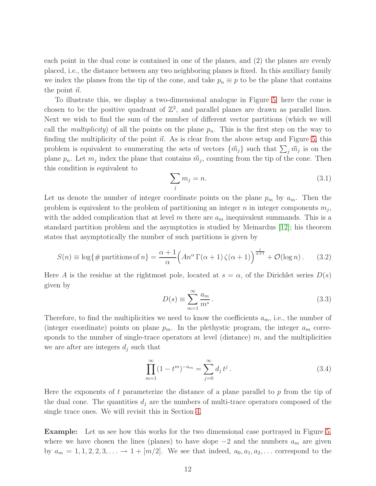each point in the dual cone is contained in one of the planes, and (2) the planes are evenly placed, i.e., the distance between any two neighboring planes is fixed. In this auxiliary family we index the planes from the tip of the cone, and take  $p_n \equiv p$  to be the plane that contains the point  $\vec{n}$ .

To illustrate this, we display a two-dimensional analogue in Figure [5;](#page-14-0) here the cone is chosen to be the positive quadrant of  $\mathbb{Z}^2$ , and parallel planes are drawn as parallel lines. Next we wish to find the sum of the number of different vector partitions (which we will call the *multiplicity*) of all the points on the plane  $p_n$ . This is the first step on the way to finding the multiplicity of the point  $\vec{n}$ . As is clear from the above setup and Figure [5,](#page-14-0) this problem is equivalent to enumerating the sets of vectors  $\{\vec{m}_j\}$  such that  $\sum_j \vec{m}_j$  is on the plane  $p_n$ . Let  $m_j$  index the plane that contains  $\vec{m}_j$ , counting from the tip of the cone. Then this condition is equivalent to

$$
\sum_{j} m_j = n. \tag{3.1}
$$

Let us denote the number of integer coordinate points on the plane  $p_m$  by  $a_m$ . Then the problem is equivalent to the problem of partitioning an integer  $n$  in integer components  $m_j$ , with the added complication that at level m there are  $a_m$  inequivalent summands. This is a standard partition problem and the asymptotics is studied by Meinardus [\[12\]](#page-47-8); his theorem states that asymptotically the number of such partitions is given by

<span id="page-13-1"></span>
$$
S(n) \equiv \log\{\#\text{ partitions of } n\} = \frac{\alpha+1}{\alpha} \Big( A n^{\alpha} \Gamma(\alpha+1) \zeta(\alpha+1) \Big)^{\frac{1}{\alpha+1}} + \mathcal{O}(\log n). \tag{3.2}
$$

Here A is the residue at the rightmost pole, located at  $s = \alpha$ , of the Dirichlet series  $D(s)$ given by

<span id="page-13-0"></span>
$$
D(s) \equiv \sum_{m=1}^{\infty} \frac{a_m}{m^s}.
$$
\n(3.3)

Therefore, to find the multiplicities we need to know the coefficients  $a_m$ , i.e., the number of (integer coordinate) points on plane  $p_m$ . In the plethystic program, the integer  $a_m$  corresponds to the number of single-trace operators at level (distance)  $m$ , and the multiplicities we are after are integers  $d_i$  such that

$$
\prod_{m=1}^{\infty} (1 - t^m)^{-a_m} = \sum_{j=0}^{\infty} d_j t^j.
$$
\n(3.4)

Here the exponents of t parameterize the distance of a plane parallel to  $p$  from the tip of the dual cone. The quantities  $d_i$  are the numbers of multi-trace operators composed of the single trace ones. We will revisit this in Section [4.](#page-24-1)

Example: Let us see how this works for the two dimensional case portrayed in Figure [5,](#page-14-0) where we have chosen the lines (planes) to have slope  $-2$  and the numbers  $a_m$  are given by  $a_m = 1, 1, 2, 2, 3, ... \to 1 + [m/2]$ . We see that indeed,  $a_0, a_1, a_2, ...$  correspond to the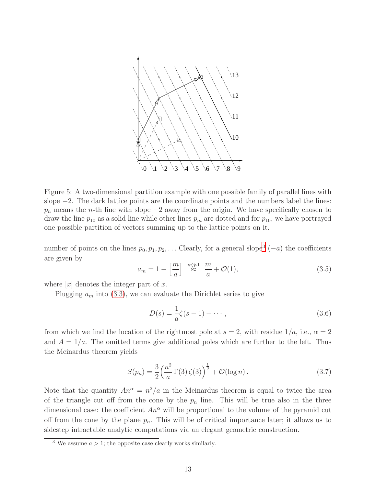

<span id="page-14-0"></span>Figure 5: A two-dimensional partition example with one possible family of parallel lines with slope  $-2$ . The dark lattice points are the coordinate points and the numbers label the lines:  $p_n$  means the *n*-th line with slope  $-2$  away from the origin. We have specifically chosen to draw the line  $p_{10}$  as a solid line while other lines  $p_m$  are dotted and for  $p_{10}$ , we have portrayed one possible partition of vectors summing up to the lattice points on it.

number of points on the lines  $p_0, p_1, p_2, \ldots$  Clearly, for a general slope<sup>[3](#page-14-1)</sup>  $(-a)$  the coefficients are given by

$$
a_m = 1 + \left[\frac{m}{a}\right] \stackrel{m \gg 1}{\approx} \frac{m}{a} + \mathcal{O}(1),\tag{3.5}
$$

where  $|x|$  denotes the integer part of x.

Plugging  $a_m$  into [\(3.3\)](#page-13-0), we can evaluate the Dirichlet series to give

$$
D(s) = \frac{1}{a}\zeta(s-1) + \cdots, \tag{3.6}
$$

from which we find the location of the rightmost pole at  $s = 2$ , with residue  $1/a$ , i.e.,  $\alpha = 2$ and  $A = 1/a$ . The omitted terms give additional poles which are further to the left. Thus the Meinardus theorem yields

$$
S(p_n) = \frac{3}{2} \left( \frac{n^2}{a} \Gamma(3) \zeta(3) \right)^{\frac{1}{3}} + \mathcal{O}(\log n). \tag{3.7}
$$

Note that the quantity  $An^{\alpha} = n^2/a$  in the Meinardus theorem is equal to twice the area of the triangle cut off from the cone by the  $p_n$  line. This will be true also in the three dimensional case: the coefficient  $An^{\alpha}$  will be proportional to the volume of the pyramid cut off from the cone by the plane  $p_n$ . This will be of critical importance later; it allows us to sidestep intractable analytic computations via an elegant geometric construction.

<span id="page-14-1"></span><sup>&</sup>lt;sup>3</sup> We assume  $a > 1$ ; the opposite case clearly works similarly.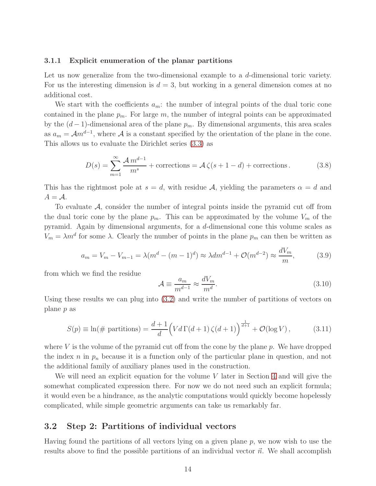#### <span id="page-15-0"></span>3.1.1 Explicit enumeration of the planar partitions

Let us now generalize from the two-dimensional example to a d-dimensional toric variety. For us the interesting dimension is  $d = 3$ , but working in a general dimension comes at no additional cost.

We start with the coefficients  $a_m$ : the number of integral points of the dual toric cone contained in the plane  $p_m$ . For large m, the number of integral points can be approximated by the  $(d-1)$ -dimensional area of the plane  $p_m$ . By dimensional arguments, this area scales as  $a_m = \mathcal{A}m^{d-1}$ , where  $\mathcal A$  is a constant specified by the orientation of the plane in the cone. This allows us to evaluate the Dirichlet series [\(3.3\)](#page-13-0) as

$$
D(s) = \sum_{m=1}^{\infty} \frac{\mathcal{A} \, m^{d-1}}{m^s} + \text{corrections} = \mathcal{A} \, \zeta(s+1-d) + \text{corrections} \,. \tag{3.8}
$$

This has the rightmost pole at  $s = d$ , with residue A, yielding the parameters  $\alpha = d$  and  $A = \mathcal{A}.$ 

To evaluate  $A$ , consider the number of integral points inside the pyramid cut off from the dual toric cone by the plane  $p_m$ . This can be approximated by the volume  $V_m$  of the pyramid. Again by dimensional arguments, for a d-dimensional cone this volume scales as  $V_m = \lambda m^d$  for some  $\lambda$ . Clearly the number of points in the plane  $p_m$  can then be written as

<span id="page-15-3"></span>
$$
a_m = V_m - V_{m-1} = \lambda (m^d - (m-1)^d) \approx \lambda dm^{d-1} + \mathcal{O}(m^{d-2}) \approx \frac{dV_m}{m},
$$
 (3.9)

from which we find the residue

$$
\mathcal{A} \equiv \frac{a_m}{m^{d-1}} \approx \frac{dV_m}{m^d}.\tag{3.10}
$$

Using these results we can plug into [\(3.2\)](#page-13-1) and write the number of partitions of vectors on plane p as

<span id="page-15-2"></span>
$$
S(p) \equiv \ln(\text{\# partitions}) = \frac{d+1}{d} \Big( V d\Gamma(d+1) \zeta(d+1) \Big)^{\frac{1}{d+1}} + \mathcal{O}(\log V), \tag{3.11}
$$

where  $V$  is the volume of the pyramid cut off from the cone by the plane  $p$ . We have dropped the index n in  $p_n$  because it is a function only of the particular plane in question, and not the additional family of auxiliary planes used in the construction.

We will need an explicit equation for the volume  $V$  later in Section [4](#page-24-1) and will give the somewhat complicated expression there. For now we do not need such an explicit formula; it would even be a hindrance, as the analytic computations would quickly become hopelessly complicated, while simple geometric arguments can take us remarkably far.

#### <span id="page-15-1"></span>3.2 Step 2: Partitions of individual vectors

Having found the partitions of all vectors lying on a given plane  $p$ , we now wish to use the results above to find the possible partitions of an individual vector  $\vec{n}$ . We shall accomplish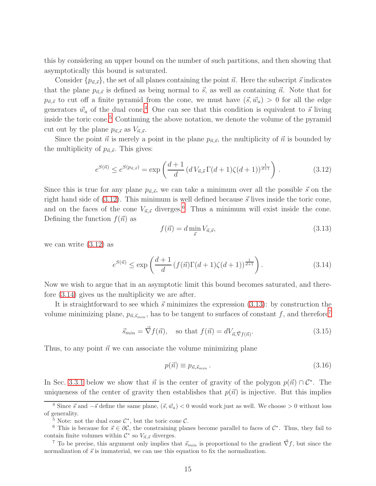this by considering an upper bound on the number of such partitions, and then showing that asymptotically this bound is saturated.

Consider  $\{p_{\vec{n},\vec{s}}\}$ , the set of all planes containing the point  $\vec{n}$ . Here the subscript  $\vec{s}$  indicates that the plane  $p_{\vec{n},\vec{s}}$  is defined as being normal to  $\vec{s}$ , as well as containing  $\vec{n}$ . Note that for  $p_{\vec{n},\vec{s}}$  to cut off a finite pyramid from the cone, we must have  $(\vec{s}, \vec{w}_a) > 0$  for all the edge generators  $\vec{w}_a$  of the dual cone.<sup>[4](#page-16-0)</sup> One can see that this condition is equivalent to  $\vec{s}$  living inside the toric cone.<sup>[5](#page-16-1)</sup> Continuing the above notation, we denote the volume of the pyramid cut out by the plane  $p_{\vec{n},\vec{s}}$  as  $V_{\vec{n},\vec{s}}$ .

Since the point  $\vec{n}$  is merely a point in the plane  $p_{\vec{n},\vec{s}}$ , the multiplicity of  $\vec{n}$  is bounded by the multiplicity of  $p_{\vec{n},\vec{s}}$ . This gives:

<span id="page-16-2"></span>
$$
e^{S(\vec{n})} \le e^{S(p_{\vec{n},\vec{s}})} = \exp\left(\frac{d+1}{d} \left(d V_{\vec{n},\vec{s}} \Gamma(d+1) \zeta(d+1)\right)^{\frac{1}{d+1}}\right). \tag{3.12}
$$

Since this is true for any plane  $p_{\vec{n},\vec{s}}$ , we can take a minimum over all the possible  $\vec{s}$  on the right hand side of  $(3.12)$ . This minimum is well defined because  $\vec{s}$  lives inside the toric cone, and on the faces of the cone  $V_{\vec{n},\vec{s}}$  diverges.<sup>[6](#page-16-3)</sup> Thus a minimum will exist inside the cone. Defining the function  $f(\vec{n})$  as

<span id="page-16-5"></span>
$$
f(\vec{n}) = d \min_{\vec{s}} V_{\vec{n},\vec{s}},\tag{3.13}
$$

we can write [\(3.12\)](#page-16-2) as

<span id="page-16-4"></span>
$$
e^{S(\vec{n})} \le \exp\left(\frac{d+1}{d}\left(f(\vec{n})\Gamma(d+1)\zeta(d+1)\right)^{\frac{1}{d+1}}\right). \tag{3.14}
$$

Now we wish to argue that in an asymptotic limit this bound becomes saturated, and therefore [\(3.14\)](#page-16-4) gives us the multiplicity we are after.

It is straightforward to see which  $\vec{s}$  minimizes the expression [\(3.13\)](#page-16-5): by construction the volume minimizing plane,  $p_{\vec{n}, \vec{s}_{min}}$ , has to be tangent to surfaces of constant f, and therefore<sup>[7](#page-16-6)</sup>

<span id="page-16-7"></span>
$$
\vec{s}_{min} = \vec{\nabla} f(\vec{n}), \quad \text{so that } f(\vec{n}) = dV_{\vec{n}, \vec{\nabla} f(\vec{n})}.
$$
\n(3.15)

Thus, to any point  $\vec{n}$  we can associate the volume minimizing plane

$$
p(\vec{n}) \equiv p_{\vec{n}, \vec{s}_{min}} \,. \tag{3.16}
$$

In Sec. [3.3.1](#page-19-0) below we show that  $\vec{n}$  is the center of gravity of the polygon  $p(\vec{n}) \cap C^*$ . The uniqueness of the center of gravity then establishes that  $p(\vec{n})$  is injective. But this implies

<sup>&</sup>lt;sup>4</sup> Since  $\vec{s}$  and  $-\vec{s}$  define the same plane,  $(\vec{s}, \vec{w}_a) < 0$  would work just as well. We choose > 0 without loss of generality.

<span id="page-16-1"></span><span id="page-16-0"></span><sup>&</sup>lt;sup>5</sup> Note: not the dual cone  $\mathcal{C}^*$ , but the toric cone  $\mathcal{C}$ .

<span id="page-16-3"></span><sup>&</sup>lt;sup>6</sup> This is because for  $\vec{s} \in \partial \mathcal{C}$ , the constraining planes become parallel to faces of  $\mathcal{C}^*$ . Thus, they fail to contain finite volumes within  $\mathcal{C}^*$  so  $V_{\vec{n},\vec{s}}$  diverges.

<span id="page-16-6"></span><sup>&</sup>lt;sup>7</sup> To be precise, this argument only implies that  $\vec{s}_{min}$  is proportional to the gradient  $\vec{\nabla}f$ , but since the normalization of  $\vec{s}$  is immaterial, we can use this equation to fix the normalization.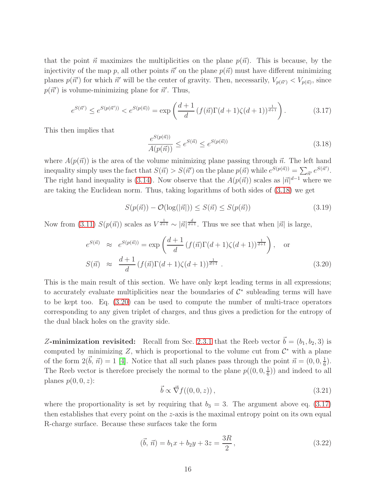that the point  $\vec{n}$  maximizes the multiplicities on the plane  $p(\vec{n})$ . This is because, by the injectivity of the map p, all other points  $\vec{n}'$  on the plane  $p(\vec{n})$  must have different minimizing planes  $p(\vec{n}')$  for which  $\vec{n}'$  will be the center of gravity. Then, necessarily,  $V_{p(\vec{n}')} < V_{p(\vec{n})}$ , since  $p(\vec{n}')$  is volume-minimizing plane for  $\vec{n}'$ . Thus,

<span id="page-17-2"></span>
$$
e^{S(\vec{n}')} \le e^{S(p(\vec{n}'))} < e^{S(p(\vec{n}))} = \exp\left(\frac{d+1}{d}\left(f(\vec{n})\Gamma(d+1)\zeta(d+1)\right)^{\frac{1}{d+1}}\right). \tag{3.17}
$$

This then implies that

<span id="page-17-0"></span>
$$
\frac{e^{S(p(\vec{n}))}}{A(p(\vec{n}))} \le e^{S(\vec{n})} \le e^{S(p(\vec{n}))} \tag{3.18}
$$

where  $A(p(\vec{n}))$  is the area of the volume minimizing plane passing through  $\vec{n}$ . The left hand inequality simply uses the fact that  $S(\vec{n}) > S(\vec{n}')$  on the plane  $p(\vec{n})$  while  $e^{S(p(\vec{n}))} = \sum_{\vec{n}'} e^{S(\vec{n}')}$ . The right hand inequality is [\(3.14\)](#page-16-4). Now observe that the  $A(p(\vec{n}))$  scales as  $|\vec{n}|^{d-1}$  where we are taking the Euclidean norm. Thus, taking logarithms of both sides of [\(3.18\)](#page-17-0) we get

$$
S(p(\vec{n})) - \mathcal{O}(\log(|\vec{n}|)) \le S(\vec{n}) \le S(p(\vec{n})) \tag{3.19}
$$

Now from [\(3.11\)](#page-15-2)  $S(p(\vec{n}))$  scales as  $V^{\frac{1}{d+1}} \sim |\vec{n}|^{\frac{d}{d+1}}$ . Thus we see that when  $|\vec{n}|$  is large,

<span id="page-17-1"></span>
$$
e^{S(\vec{n})} \approx e^{S(p(\vec{n}))} = \exp\left(\frac{d+1}{d}(f(\vec{n})\Gamma(d+1)\zeta(d+1))^{\frac{1}{d+1}}\right), \text{ or}
$$
  

$$
S(\vec{n}) \approx \frac{d+1}{d}(f(\vec{n})\Gamma(d+1)\zeta(d+1))^{\frac{1}{d+1}}.
$$
 (3.20)

This is the main result of this section. We have only kept leading terms in all expressions; to accurately evaluate multiplicities near the boundaries of  $\mathcal{C}^*$  subleading terms will have to be kept too. Eq. [\(3.20\)](#page-17-1) can be used to compute the number of multi-trace operators corresponding to any given triplet of charges, and thus gives a prediction for the entropy of the dual black holes on the gravity side.

Z-minimization revisited: Recall from Sec. [2.3.1](#page-9-0) that the Reeb vector  $\vec{b} = (b_1, b_2, 3)$  is computed by minimizing Z, which is proportional to the volume cut from  $\mathcal{C}^*$  with a plane of the form  $2(\vec{b}, \vec{n}) = 1$  [\[4\]](#page-47-0). Notice that all such planes pass through the point  $\vec{n} = (0, 0, \frac{1}{6})$  $\frac{1}{6}$ . The Reeb vector is therefore precisely the normal to the plane  $p((0,0,\frac{1}{6}))$  $(\frac{1}{6})$  and indeed to all planes  $p(0, 0, z)$ :

<span id="page-17-3"></span>
$$
\vec{b} \propto \vec{\nabla} f((0,0,z)),\tag{3.21}
$$

where the proportionality is set by requiring that  $b_3 = 3$ . The argument above eq. [\(3.17\)](#page-17-2) then establishes that every point on the z-axis is the maximal entropy point on its own equal R-charge surface. Because these surfaces take the form

$$
(\vec{b}, \vec{n}) = b_1 x + b_2 y + 3z = \frac{3R}{2}, \qquad (3.22)
$$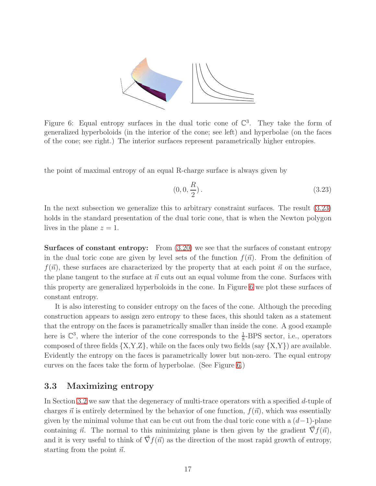

<span id="page-18-2"></span>Figure 6: Equal entropy surfaces in the dual toric cone of  $\mathbb{C}^3$ . They take the form of generalized hyperboloids (in the interior of the cone; see left) and hyperbolae (on the faces of the cone; see right.) The interior surfaces represent parametrically higher entropies.

the point of maximal entropy of an equal R-charge surface is always given by

<span id="page-18-1"></span>
$$
(0,0,\frac{R}{2})\,. \tag{3.23}
$$

In the next subsection we generalize this to arbitrary constraint surfaces. The result [\(3.23\)](#page-18-1) holds in the standard presentation of the dual toric cone, that is when the Newton polygon lives in the plane  $z = 1$ .

Surfaces of constant entropy: From [\(3.20\)](#page-17-1) we see that the surfaces of constant entropy in the dual toric cone are given by level sets of the function  $f(\vec{n})$ . From the definition of  $f(\vec{n})$ , these surfaces are characterized by the property that at each point  $\vec{n}$  on the surface, the plane tangent to the surface at  $\vec{n}$  cuts out an equal volume from the cone. Surfaces with this property are generalized hyperboloids in the cone. In Figure [6](#page-18-2) we plot these surfaces of constant entropy.

It is also interesting to consider entropy on the faces of the cone. Although the preceding construction appears to assign zero entropy to these faces, this should taken as a statement that the entropy on the faces is parametrically smaller than inside the cone. A good example here is  $\mathbb{C}^3$ , where the interior of the cone corresponds to the  $\frac{1}{8}$ -BPS sector, i.e., operators composed of three fields  ${X,Y,Z}$ , while on the faces only two fields  $(say {X,Y})$  are available. Evidently the entropy on the faces is parametrically lower but non-zero. The equal entropy curves on the faces take the form of hyperbolae. (See Figure [6.](#page-18-2))

## <span id="page-18-0"></span>3.3 Maximizing entropy

In Section [3.2](#page-15-1) we saw that the degeneracy of multi-trace operators with a specified d-tuple of charges  $\vec{n}$  is entirely determined by the behavior of one function,  $f(\vec{n})$ , which was essentially given by the minimal volume that can be cut out from the dual toric cone with a  $(d-1)$ -plane containing  $\vec{n}$ . The normal to this minimizing plane is then given by the gradient  $\vec{\nabla}f(\vec{n})$ , and it is very useful to think of  $\vec{\nabla} f(\vec{n})$  as the direction of the most rapid growth of entropy, starting from the point  $\vec{n}$ .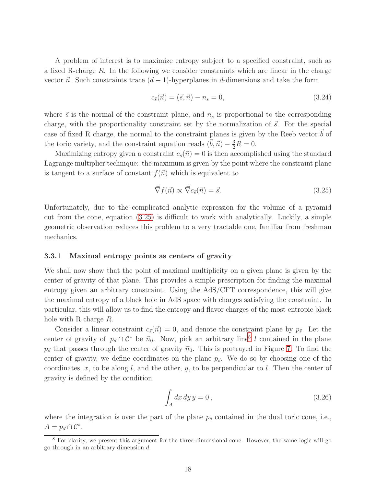A problem of interest is to maximize entropy subject to a specified constraint, such as a fixed R-charge R. In the following we consider constraints which are linear in the charge vector  $\vec{n}$ . Such constraints trace  $(d - 1)$ -hyperplanes in d-dimensions and take the form

$$
c_{\vec{s}}(\vec{n}) = (\vec{s}, \vec{n}) - n_s = 0,
$$
\n(3.24)

where  $\vec{s}$  is the normal of the constraint plane, and  $n_s$  is proportional to the corresponding charge, with the proportionality constraint set by the normalization of  $\vec{s}$ . For the special case of fixed R charge, the normal to the constraint planes is given by the Reeb vector  $\vec{b}$  of the toric variety, and the constraint equation reads  $(\vec{b}, \vec{n}) - \frac{3}{2}R = 0$ .

Maximizing entropy given a constraint  $c_{\vec{s}}(\vec{n}) = 0$  is then accomplished using the standard Lagrange multiplier technique: the maximum is given by the point where the constraint plane is tangent to a surface of constant  $f(\vec{n})$  which is equivalent to

<span id="page-19-1"></span>
$$
\vec{\nabla}f(\vec{n}) \propto \vec{\nabla}c_{\vec{s}}(\vec{n}) = \vec{s}.\tag{3.25}
$$

Unfortunately, due to the complicated analytic expression for the volume of a pyramid cut from the cone, equation [\(3.25\)](#page-19-1) is difficult to work with analytically. Luckily, a simple geometric observation reduces this problem to a very tractable one, familiar from freshman mechanics.

#### <span id="page-19-0"></span>3.3.1 Maximal entropy points as centers of gravity

We shall now show that the point of maximal multiplicity on a given plane is given by the center of gravity of that plane. This provides a simple prescription for finding the maximal entropy given an arbitrary constraint. Using the AdS/CFT correspondence, this will give the maximal entropy of a black hole in AdS space with charges satisfying the constraint. In particular, this will allow us to find the entropy and flavor charges of the most entropic black hole with R charge R.

Consider a linear constraint  $c_{\vec{s}}(\vec{n}) = 0$ , and denote the constraint plane by  $p_{\vec{s}}$ . Let the center of gravity of  $p_{\vec{s}} \cap C^*$  be  $\vec{n}_0$ . Now, pick an arbitrary line<sup>[8](#page-19-2)</sup> l contained in the plane  $p_{\vec{s}}$  that passes through the center of gravity  $\vec{n}_0$ . This is portrayed in Figure [7.](#page-20-0) To find the center of gravity, we define coordinates on the plane  $p_{\bar{s}}$ . We do so by choosing one of the coordinates, x, to be along l, and the other, y, to be perpendicular to l. Then the center of gravity is defined by the condition

<span id="page-19-3"></span>
$$
\int_{A} dx dy y = 0, \qquad (3.26)
$$

where the integration is over the part of the plane  $p_{\vec{s}}$  contained in the dual toric cone, i.e.,  $A=p_{\vec{s}}\cap\mathcal{C}^*$ .

<span id="page-19-2"></span><sup>8</sup> For clarity, we present this argument for the three-dimensional cone. However, the same logic will go go through in an arbitrary dimension d.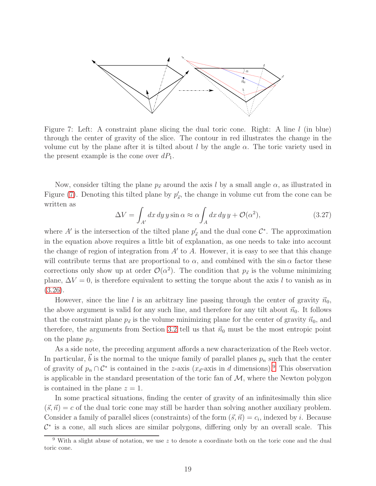

<span id="page-20-0"></span>Figure 7: Left: A constraint plane slicing the dual toric cone. Right: A line l (in blue) through the center of gravity of the slice. The contour in red illustrates the change in the volume cut by the plane after it is tilted about l by the angle  $\alpha$ . The toric variety used in the present example is the cone over  $dP_1$ .

Now, consider tilting the plane  $p_{\vec{s}}$  around the axis l by a small angle  $\alpha$ , as illustrated in Figure [\(7\)](#page-20-0). Denoting this tilted plane by  $p'_{\vec{s}}$ , the change in volume cut from the cone can be written as

$$
\Delta V = \int_{A'} dx \, dy \, y \sin \alpha \approx \alpha \int_A dx \, dy \, y + \mathcal{O}(\alpha^2), \tag{3.27}
$$

where A' is the intersection of the tilted plane  $p'_{\overline{s}}$  and the dual cone  $\mathcal{C}^*$ . The approximation in the equation above requires a little bit of explanation, as one needs to take into account the change of region of integration from  $A'$  to  $A$ . However, it is easy to see that this change will contribute terms that are proportional to  $\alpha$ , and combined with the sin  $\alpha$  factor these corrections only show up at order  $\mathcal{O}(\alpha^2)$ . The condition that  $p_{\bar{s}}$  is the volume minimizing plane,  $\Delta V = 0$ , is therefore equivalent to setting the torque about the axis l to vanish as in  $(3.26).$  $(3.26).$ 

However, since the line l is an arbitrary line passing through the center of gravity  $\vec{n}_0$ , the above argument is valid for any such line, and therefore for any tilt about  $\vec{n}_0$ . It follows that the constraint plane  $p_{\vec{s}}$  is the volume minimizing plane for the center of gravity  $\vec{n}_0$ , and therefore, the arguments from Section [3.2](#page-15-1) tell us that  $\vec{n}_0$  must be the most entropic point on the plane  $p_{\vec{s}}$ .

As a side note, the preceding argument affords a new characterization of the Reeb vector. In particular,  $\vec{b}$  is the normal to the unique family of parallel planes  $p_n$  such that the center of gravity of  $p_n \cap C^*$  is contained in the z-axis  $(x_d$ -axis in d dimensions).<sup>[9](#page-20-1)</sup> This observation is applicable in the standard presentation of the toric fan of  $M$ , where the Newton polygon is contained in the plane  $z = 1$ .

In some practical situations, finding the center of gravity of an infinitesimally thin slice  $(\vec{s}, \vec{n}) = c$  of the dual toric cone may still be harder than solving another auxiliary problem. Consider a family of parallel slices (constraints) of the form  $(\vec{s}, \vec{n}) = c_i$ , indexed by *i*. Because  $\mathcal{C}^*$  is a cone, all such slices are similar polygons, differing only by an overall scale. This

<span id="page-20-1"></span> $\frac{9}{9}$  With a slight abuse of notation, we use z to denote a coordinate both on the toric cone and the dual toric cone.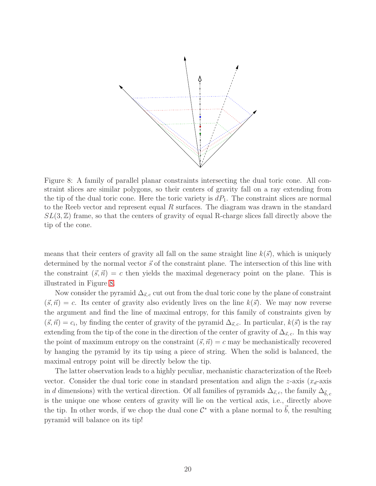

<span id="page-21-0"></span>Figure 8: A family of parallel planar constraints intersecting the dual toric cone. All constraint slices are similar polygons, so their centers of gravity fall on a ray extending from the tip of the dual toric cone. Here the toric variety is  $dP_1$ . The constraint slices are normal to the Reeb vector and represent equal R surfaces. The diagram was drawn in the standard  $SL(3,\mathbb{Z})$  frame, so that the centers of gravity of equal R-charge slices fall directly above the tip of the cone.

means that their centers of gravity all fall on the same straight line  $k(\vec{s})$ , which is uniquely determined by the normal vector  $\vec{s}$  of the constraint plane. The intersection of this line with the constraint  $(\vec{s}, \vec{n}) = c$  then yields the maximal degeneracy point on the plane. This is illustrated in Figure [8.](#page-21-0)

Now consider the pyramid  $\Delta_{\vec{s},c}$  cut out from the dual toric cone by the plane of constraint  $(\vec{s}, \vec{n}) = c$ . Its center of gravity also evidently lives on the line  $k(\vec{s})$ . We may now reverse the argument and find the line of maximal entropy, for this family of constraints given by  $(\vec{s}, \vec{n}) = c_i$ , by finding the center of gravity of the pyramid  $\Delta_{\vec{s}, c}$ . In particular,  $k(\vec{s})$  is the ray extending from the tip of the cone in the direction of the center of gravity of  $\Delta_{\vec{s}, c}$ . In this way the point of maximum entropy on the constraint  $(\vec{s}, \vec{n}) = c$  may be mechanistically recovered by hanging the pyramid by its tip using a piece of string. When the solid is balanced, the maximal entropy point will be directly below the tip.

The latter observation leads to a highly peculiar, mechanistic characterization of the Reeb vector. Consider the dual toric cone in standard presentation and align the z-axis  $(x_d$ -axis in d dimensions) with the vertical direction. Of all families of pyramids  $\Delta_{\vec{s},c}$ , the family  $\Delta_{\vec{b},c}$ is the unique one whose centers of gravity will lie on the vertical axis, i.e., directly above the tip. In other words, if we chop the dual cone  $\mathcal{C}^*$  with a plane normal to  $\vec{b}$ , the resulting pyramid will balance on its tip!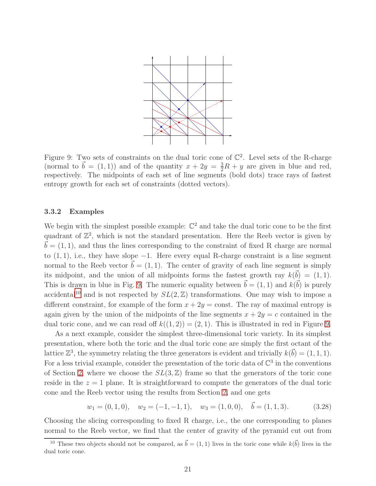

<span id="page-22-1"></span>Figure 9: Two sets of constraints on the dual toric cone of  $\mathbb{C}^2$ . Level sets of the R-charge (normal to  $\vec{b} = (1, 1)$ ) and of the quantity  $x + 2y = \frac{3}{2}R + y$  are given in blue and red, respectively. The midpoints of each set of line segments (bold dots) trace rays of fastest entropy growth for each set of constraints (dotted vectors).

#### <span id="page-22-0"></span>3.3.2 Examples

We begin with the simplest possible example:  $\mathbb{C}^2$  and take the dual toric cone to be the first quadrant of  $\mathbb{Z}^2$ , which is not the standard presentation. Here the Reeb vector is given by  $\vec{b} = (1, 1)$ , and thus the lines corresponding to the constraint of fixed R charge are normal to  $(1, 1)$ , i.e., they have slope  $-1$ . Here every equal R-charge constraint is a line segment normal to the Reeb vector  $\vec{b} = (1, 1)$ . The center of gravity of each line segment is simply its midpoint, and the union of all midpoints forms the fastest growth ray  $k(\vec{b}) = (1, 1)$ . This is drawn in blue in Fig. [9.](#page-22-1) The numeric equality between  $\vec{b} = (1, 1)$  and  $k(\vec{b})$  is purely accidental<sup>[10](#page-22-2)</sup> and is not respected by  $SL(2, \mathbb{Z})$  transformations. One may wish to impose a different constraint, for example of the form  $x + 2y = \text{const.}$  The ray of maximal entropy is again given by the union of the midpoints of the line segments  $x + 2y = c$  contained in the dual toric cone, and we can read off  $k((1,2)) = (2,1)$ . This is illustrated in red in Figure [9.](#page-22-1)

As a next example, consider the simplest three-dimensional toric variety. In its simplest presentation, where both the toric and the dual toric cone are simply the first octant of the lattice  $\mathbb{Z}^3$ , the symmetry relating the three generators is evident and trivially  $k(\vec{b}) = (1, 1, 1)$ . For a less trivial example, consider the presentation of the toric data of  $\mathbb{C}^3$  in the conventions of Section [2,](#page-4-0) where we choose the  $SL(3, \mathbb{Z})$  frame so that the generators of the toric cone reside in the  $z = 1$  plane. It is straightforward to compute the generators of the dual toric cone and the Reeb vector using the results from Section [2,](#page-4-0) and one gets

$$
w_1 = (0, 1, 0),
$$
  $w_2 = (-1, -1, 1),$   $w_3 = (1, 0, 0),$   $\vec{b} = (1, 1, 3).$  (3.28)

Choosing the slicing corresponding to fixed R charge, i.e., the one corresponding to planes normal to the Reeb vector, we find that the center of gravity of the pyramid cut out from

<span id="page-22-2"></span><sup>&</sup>lt;sup>10</sup> These two objects should not be compared, as  $\vec{b} = (1, 1)$  lives in the toric cone while  $k(\vec{b})$  lives in the dual toric cone.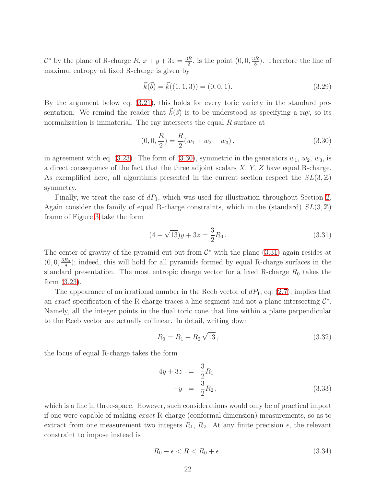$\mathcal{C}^*$  by the plane of R-charge  $R, x+y+3z = \frac{3R}{2}$  $\frac{3R}{2}$ , is the point  $(0,0,\frac{3R}{8})$  $\frac{3R}{8}$ ). Therefore the line of maximal entropy at fixed R-charge is given by

$$
\vec{k}(\vec{b}) = \vec{k}((1, 1, 3)) = (0, 0, 1). \tag{3.29}
$$

By the argument below eq. [\(3.21\)](#page-17-3), this holds for every toric variety in the standard presentation. We remind the reader that  $\vec{k}(\vec{s})$  is to be understood as specifying a ray, so its normalization is immaterial. The ray intersects the equal R surface at

<span id="page-23-0"></span>
$$
(0,0,\frac{R}{2}) = \frac{R}{2}(w_1 + w_2 + w_3), \qquad (3.30)
$$

in agreement with eq.  $(3.23)$ . The form of  $(3.30)$ , symmetric in the generators  $w_1, w_2, w_3$ , is a direct consequence of the fact that the three adjoint scalars X, Y, Z have equal R-charge. As exemplified here, all algorithms presented in the current section respect the  $SL(3,\mathbb{Z})$ symmetry.

Finally, we treat the case of  $dP_1$ , which was used for illustration throughout Section [2.](#page-4-0) Again consider the family of equal R-charge constraints, which in the (standard)  $SL(3,\mathbb{Z})$ frame of Figure [3](#page-8-0) take the form

<span id="page-23-1"></span>
$$
(4 - \sqrt{13})y + 3z = \frac{3}{2}R_0.
$$
\n(3.31)

The center of gravity of the pyramid cut out from  $\mathcal{C}^*$  with the plane [\(3.31\)](#page-23-1) again resides at  $(0,0,\frac{3R_0}{8})$  $\frac{R_0}{8}$ ); indeed, this will hold for all pyramids formed by equal R-charge surfaces in the standard presentation. The most entropic charge vector for a fixed R-charge  $R_0$  takes the form [\(3.23\)](#page-18-1).

The appearance of an irrational number in the Reeb vector of  $dP_1$ , eq.  $(2.7)$ , implies that an exact specification of the R-charge traces a line segment and not a plane intersecting  $\mathcal{C}^*$ . Namely, all the integer points in the dual toric cone that line within a plane perpendicular to the Reeb vector are actually collinear. In detail, writing down

$$
R_0 = R_1 + R_2 \sqrt{13},\tag{3.32}
$$

the locus of equal R-charge takes the form

$$
4y + 3z = \frac{3}{2}R_1
$$
  

$$
-y = \frac{3}{2}R_2,
$$
 (3.33)

which is a line in three-space. However, such considerations would only be of practical import if one were capable of making exact R-charge (conformal dimension) measurements, so as to extract from one measurement two integers  $R_1, R_2$ . At any finite precision  $\epsilon$ , the relevant constraint to impose instead is

<span id="page-23-2"></span>
$$
R_0 - \epsilon < R < R_0 + \epsilon \tag{3.34}
$$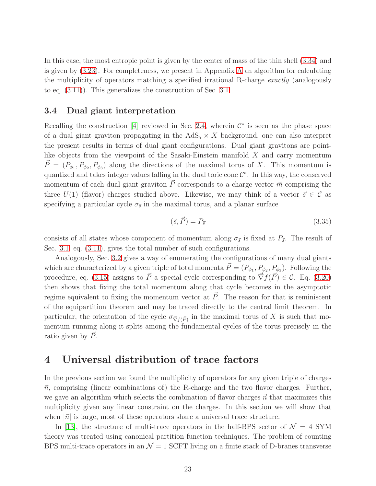In this case, the most entropic point is given by the center of mass of the thin shell [\(3.34\)](#page-23-2) and is given by [\(3.23\)](#page-18-1). For completeness, we present in Appendix [A](#page-41-0) an algorithm for calculating the multiplicity of operators matching a specified irrational R-charge exactly (analogously to eq. [\(3.11\)](#page-15-2)). This generalizes the construction of Sec. [3.1.](#page-12-0)

## <span id="page-24-0"></span>3.4 Dual giant interpretation

Recalling the construction [\[4\]](#page-47-0) reviewed in Sec. [2.4,](#page-9-1) wherein  $\mathcal{C}^*$  is seen as the phase space of a dual giant graviton propagating in the  $AdS_5 \times X$  background, one can also interpret the present results in terms of dual giant configurations. Dual giant gravitons are pointlike objects from the viewpoint of the Sasaki-Einstein manifold  $X$  and carry momentum  $\vec{P} = (P_{\phi_1}, P_{\phi_2}, P_{\phi_3})$  along the directions of the maximal torus of X. This momentum is quantized and takes integer values falling in the dual toric cone  $\mathcal{C}^*$ . In this way, the conserved momentum of each dual giant graviton  $\vec{P}$  corresponds to a charge vector  $\vec{m}$  comprising the three  $U(1)$  (flavor) charges studied above. Likewise, we may think of a vector  $\vec{s} \in \mathcal{C}$  as specifying a particular cycle  $\sigma_{\vec{s}}$  in the maximal torus, and a planar surface

$$
(\vec{s}, \vec{P}) = P_{\vec{s}} \tag{3.35}
$$

consists of all states whose component of momentum along  $\sigma_{\vec{s}}$  is fixed at  $P_{\vec{s}}$ . The result of Sec. [3.1,](#page-12-0) eq.  $(3.11)$ , gives the total number of such configurations.

Analogously, Sec. [3.2](#page-15-1) gives a way of enumerating the configurations of many dual giants which are characterized by a given triple of total momenta  $\vec{P} = (P_{\phi_1}, P_{\phi_2}, P_{\phi_3})$ . Following the procedure, eq. [\(3.15\)](#page-16-7) assigns to  $\vec{P}$  a special cycle corresponding to  $\vec{\nabla}f(\vec{P}) \in \mathcal{C}$ . Eq. [\(3.20\)](#page-17-1) then shows that fixing the total momentum along that cycle becomes in the asymptotic regime equivalent to fixing the momentum vector at  $\vec{P}$ . The reason for that is reminiscent of the equipartition theorem and may be traced directly to the central limit theorem. In particular, the orientation of the cycle  $\sigma_{\vec{\nabla}f(\vec{P})}$  in the maximal torus of X is such that momentum running along it splits among the fundamental cycles of the torus precisely in the ratio given by  $\ddot{P}$ .

## <span id="page-24-1"></span>4 Universal distribution of trace factors

In the previous section we found the multiplicity of operators for any given triple of charges  $\vec{n}$ , comprising (linear combinations of) the R-charge and the two flavor charges. Further, we gave an algorithm which selects the combination of flavor charges  $\vec{n}$  that maximizes this multiplicity given any linear constraint on the charges. In this section we will show that when  $|\vec{n}|$  is large, most of these operators share a universal trace structure.

In [\[13\]](#page-47-9), the structure of multi-trace operators in the half-BPS sector of  $\mathcal{N} = 4$  SYM theory was treated using canonical partition function techniques. The problem of counting BPS multi-trace operators in an  $\mathcal{N}=1$  SCFT living on a finite stack of D-branes transverse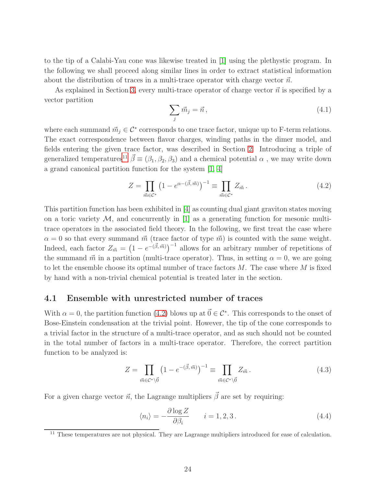to the tip of a Calabi-Yau cone was likewise treated in [\[1\]](#page-46-0) using the plethystic program. In the following we shall proceed along similar lines in order to extract statistical information about the distribution of traces in a multi-trace operator with charge vector  $\vec{n}$ .

As explained in Section [3,](#page-11-0) every multi-trace operator of charge vector  $\vec{n}$  is specified by a vector partition

$$
\sum_{j} \vec{m}_j = \vec{n},\tag{4.1}
$$

where each summand  $\vec{m}_j \in \mathcal{C}^*$  corresponds to one trace factor, unique up to F-term relations. The exact correspondence between flavor charges, winding paths in the dimer model, and fields entering the given trace factor, was described in Section [2.](#page-4-0) Introducing a triple of generalized temperatures<sup>[11](#page-25-1)</sup>  $\vec{\beta} \equiv (\beta_1, \beta_2, \beta_3)$  and a chemical potential  $\alpha$ , we may write down a grand canonical partition function for the system [\[1,](#page-46-0) [4\]](#page-47-0)

<span id="page-25-2"></span>
$$
Z = \prod_{\vec{m} \in \mathcal{C}^*} \left( 1 - e^{\alpha - (\vec{\beta}, \vec{m})} \right)^{-1} \equiv \prod_{\vec{m} \in \mathcal{C}^*} Z_{\vec{m}} \,. \tag{4.2}
$$

This partition function has been exhibited in [\[4\]](#page-47-0) as counting dual giant graviton states moving on a toric variety  $M$ , and concurrently in [\[1\]](#page-46-0) as a generating function for mesonic multitrace operators in the associated field theory. In the following, we first treat the case where  $\alpha = 0$  so that every summand  $\vec{m}$  (trace factor of type  $\vec{m}$ ) is counted with the same weight. Indeed, each factor  $Z_{\vec{m}} = (1 - e^{-(\vec{\beta}, \vec{m})})^{-1}$  allows for an arbitrary number of repetitions of the summand  $\vec{m}$  in a partition (multi-trace operator). Thus, in setting  $\alpha = 0$ , we are going to let the ensemble choose its optimal number of trace factors  $M$ . The case where  $M$  is fixed by hand with a non-trivial chemical potential is treated later in the section.

#### <span id="page-25-0"></span>4.1 Ensemble with unrestricted number of traces

With  $\alpha = 0$ , the partition function [\(4.2\)](#page-25-2) blows up at  $\vec{0} \in C^*$ . This corresponds to the onset of Bose-Einstein condensation at the trivial point. However, the tip of the cone corresponds to a trivial factor in the structure of a multi-trace operator, and as such should not be counted in the total number of factors in a multi-trace operator. Therefore, the correct partition function to be analyzed is:

<span id="page-25-3"></span>
$$
Z = \prod_{\vec{m}\in\mathcal{C}^*\backslash\vec{0}} \left(1 - e^{-(\vec{\beta},\vec{m})}\right)^{-1} \equiv \prod_{\vec{m}\in\mathcal{C}^*\backslash\vec{0}} Z_{\vec{m}}.
$$
 (4.3)

For a given charge vector  $\vec{n}$ , the Lagrange multipliers  $\vec{\beta}$  are set by requiring:

<span id="page-25-4"></span>
$$
\langle n_i \rangle = -\frac{\partial \log Z}{\partial \beta_i} \qquad i = 1, 2, 3. \tag{4.4}
$$

<span id="page-25-1"></span><sup>&</sup>lt;sup>11</sup> These temperatures are not physical. They are Lagrange multipliers introduced for ease of calculation.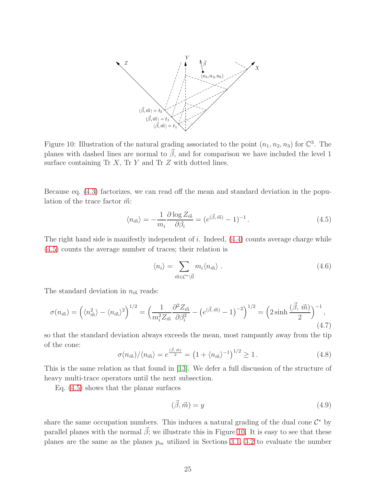

<span id="page-26-1"></span>Figure 10: Illustration of the natural grading associated to the point  $(n_1, n_2, n_3)$  for  $\mathbb{C}^3$ . The planes with dashed lines are normal to  $\vec{\beta}$ , and for comparison we have included the level 1 surface containing  $\text{Tr } X$ ,  $\text{Tr } Y$  and  $\text{Tr } Z$  with dotted lines.

Because eq. [\(4.3\)](#page-25-3) factorizes, we can read off the mean and standard deviation in the population of the trace factor  $\vec{m}$ :

<span id="page-26-0"></span>
$$
\langle n_{\vec{m}} \rangle = -\frac{1}{m_i} \frac{\partial \log Z_{\vec{m}}}{\partial \beta_i} = (e^{(\vec{\beta}, \vec{m})} - 1)^{-1} \,. \tag{4.5}
$$

The right hand side is manifestly independent of  $i$ . Indeed,  $(4.4)$  counts average charge while [\(4.5\)](#page-26-0) counts the average number of traces; their relation is

<span id="page-26-3"></span>
$$
\langle n_i \rangle = \sum_{\vec{m} \in \mathcal{C}^* \backslash \vec{0}} m_i \langle n_{\vec{m}} \rangle . \tag{4.6}
$$

The standard deviation in  $n_{\vec{m}}$  reads:

$$
\sigma(n_{\vec{m}}) = \left(\langle n_{\vec{m}}^2 \rangle - \langle n_{\vec{m}} \rangle^2\right)^{1/2} = \left(\frac{1}{m_i^2 Z_{\vec{m}}} \frac{\partial^2 Z_{\vec{m}}}{\partial \beta_i^2} - \left(e^{(\vec{\beta}, \vec{m})} - 1\right)^{-2}\right)^{1/2} = \left(2 \sinh \frac{(\vec{\beta}, \vec{m})}{2}\right)^{-1},\tag{4.7}
$$

so that the standard deviation always exceeds the mean, most rampantly away from the tip of the cone:

<span id="page-26-4"></span>
$$
\sigma(n_{\vec{m}})/\langle n_{\vec{m}}\rangle = e^{\frac{(\vec{\beta},\vec{m})}{2}} = \left(1 + \langle n_{\vec{m}}\rangle^{-1}\right)^{1/2} \ge 1.
$$
\n(4.8)

This is the same relation as that found in [\[13\]](#page-47-9). We defer a full discussion of the structure of heavy multi-trace operators until the next subsection.

Eq. [\(4.5\)](#page-26-0) shows that the planar surfaces

<span id="page-26-2"></span>
$$
(\vec{\beta}, \vec{m}) = y \tag{4.9}
$$

share the same occupation numbers. This induces a natural grading of the dual cone  $\mathcal{C}^*$  by parallel planes with the normal  $\vec{\beta}$ ; we illustrate this in Figure [10.](#page-26-1) It is easy to see that these planes are the same as the planes  $p_m$  utilized in Sections [3.1,](#page-12-0) [3.2](#page-15-1) to evaluate the number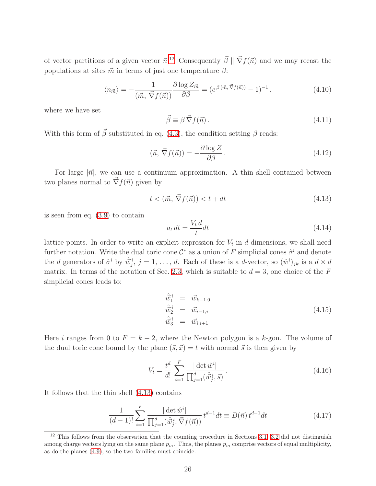of vector partitions of a given vector  $\vec{n}$ <sup>[12](#page-27-0)</sup> Consequently  $\vec{\beta} \parallel \vec{\nabla} f(\vec{n})$  and we may recast the populations at sites  $\vec{m}$  in terms of just one temperature  $\beta$ :

<span id="page-27-3"></span>
$$
\langle n_{\vec{m}} \rangle = -\frac{1}{(\vec{m}, \vec{\nabla} f(\vec{n}))} \frac{\partial \log Z_{\vec{m}}}{\partial \beta} = (e^{\beta(\vec{m}, \vec{\nabla} f(\vec{n}))} - 1)^{-1}, \tag{4.10}
$$

where we have set

<span id="page-27-5"></span>
$$
\vec{\beta} \equiv \beta \vec{\nabla} f(\vec{n}). \tag{4.11}
$$

With this form of  $\vec{\beta}$  substituted in eq. [\(4.3\)](#page-25-3), the condition setting  $\beta$  reads:

<span id="page-27-2"></span>
$$
(\vec{n}, \vec{\nabla} f(\vec{n})) = -\frac{\partial \log Z}{\partial \beta}.
$$
\n(4.12)

For large  $|\vec{n}|$ , we can use a continuum approximation. A thin shell contained between two planes normal to  $\nabla f(\vec{n})$  given by

<span id="page-27-1"></span>
$$
t < (\vec{m}, \vec{\nabla} f(\vec{n})) < t + dt \tag{4.13}
$$

is seen from eq. [\(3.9\)](#page-15-3) to contain

$$
a_t dt = \frac{V_t d}{t} dt \tag{4.14}
$$

lattice points. In order to write an explicit expression for  $V_t$  in d dimensions, we shall need further notation. Write the dual toric cone  $\mathcal{C}^*$  as a union of F simplicial cones  $\hat{\sigma}^i$  and denote the d generators of  $\hat{\sigma}^i$  by  $\hat{\vec{w}}_j^i$ ,  $j = 1, \ldots, d$ . Each of these is a d-vector, so  $(\hat{w}^i)_{jk}$  is a  $d \times d$ matrix. In terms of the notation of Sec. [2.3,](#page-7-0) which is suitable to  $d = 3$ , one choice of the F simplicial cones leads to:

$$
\begin{aligned}\n\hat{\vec{w}}_1^i &= \vec{w}_{k-1,0} \\
\hat{\vec{w}}_2^i &= \vec{w}_{i-1,i} \\
\hat{\vec{w}}_3^i &= \vec{w}_{i,i+1}\n\end{aligned} \tag{4.15}
$$

Here i ranges from 0 to  $F = k - 2$ , where the Newton polygon is a k-gon. The volume of the dual toric cone bound by the plane  $(\vec{s}, \vec{x}) = t$  with normal  $\vec{s}$  is then given by

$$
V_t = \frac{t^d}{d!} \sum_{i=1}^F \frac{|\det \hat{w}^i|}{\prod_{j=1}^d (\hat{w}_j^i, \vec{s})}.
$$
\n(4.16)

It follows that the thin shell [\(4.13\)](#page-27-1) contains

<span id="page-27-4"></span>
$$
\frac{1}{(d-1)!} \sum_{i=1}^{F} \frac{|\det \hat{w}^i|}{\prod_{j=1}^d (\hat{w}_j^i, \vec{\nabla} f(\vec{n}))} t^{d-1} dt \equiv B(\vec{n}) t^{d-1} dt \tag{4.17}
$$

<span id="page-27-0"></span> $12$  This follows from the observation that the counting procedure in Sections [3.1,](#page-12-0) [3.2](#page-15-1) did not distinguish among charge vectors lying on the same plane  $p_m$ . Thus, the planes  $p_m$  comprise vectors of equal multiplicity, as do the planes [\(4.9\)](#page-26-2), so the two families must coincide.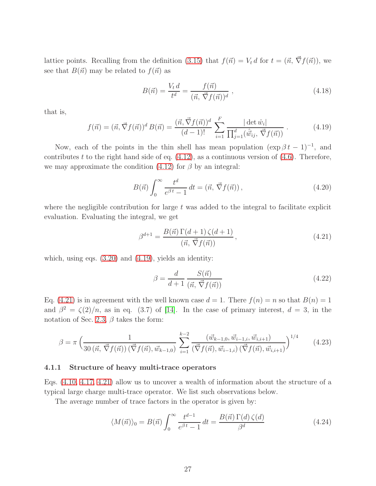lattice points. Recalling from the definition [\(3.15\)](#page-16-7) that  $f(\vec{n}) = V_t d$  for  $t = (\vec{n}, \vec{\nabla} f(\vec{n}))$ , we see that  $B(\vec{n})$  may be related to  $f(\vec{n})$  as

$$
B(\vec{n}) = \frac{V_t d}{t^d} = \frac{f(\vec{n})}{(\vec{n}, \vec{\nabla} f(\vec{n}))^d},
$$
\n(4.18)

that is,

<span id="page-28-1"></span>
$$
f(\vec{n}) = (\vec{n}, \vec{\nabla} f(\vec{n}))^d B(\vec{n}) = \frac{(\vec{n}, \vec{\nabla} f(\vec{n}))^d}{(d-1)!} \sum_{i=1}^F \frac{|\det \hat{w}_i|}{\prod_{j=1}^d (\hat{\vec{w}}_{ij}, \vec{\nabla} f(\vec{n}))} .
$$
 (4.19)

Now, each of the points in the thin shell has mean population  $(\exp \beta t - 1)^{-1}$ , and contributes t to the right hand side of eq.  $(4.12)$ , as a continuous version of  $(4.6)$ . Therefore, we may approximate the condition  $(4.12)$  for  $\beta$  by an integral:

<span id="page-28-4"></span>
$$
B(\vec{n})\int_0^\infty \frac{t^d}{e^{\beta t}-1} dt = (\vec{n}, \vec{\nabla}f(\vec{n})), \qquad (4.20)
$$

where the negligible contribution for large  $t$  was added to the integral to facilitate explicit evaluation. Evaluating the integral, we get

<span id="page-28-2"></span>
$$
\beta^{d+1} = \frac{B(\vec{n}) \Gamma(d+1) \zeta(d+1)}{(\vec{n}, \vec{\nabla} f(\vec{n}))}, \qquad (4.21)
$$

which, using eqs.  $(3.20)$  and  $(4.19)$ , yields an identity:

<span id="page-28-3"></span>
$$
\beta = \frac{d}{d+1} \frac{S(\vec{n})}{(\vec{n}, \vec{\nabla} f(\vec{n}))}
$$
(4.22)

Eq. [\(4.21\)](#page-28-2) is in agreement with the well known case  $d = 1$ . There  $f(n) = n$  so that  $B(n) = 1$ and  $\beta^2 = \zeta(2)/n$ , as in eq. (3.7) of [\[14\]](#page-47-10). In the case of primary interest,  $d = 3$ , in the notation of Sec. [2.3,](#page-7-0)  $\beta$  takes the form:

$$
\beta = \pi \left( \frac{1}{30 \left( \vec{n}, \vec{\nabla} f(\vec{n}) \right) \left( \vec{\nabla} f(\vec{n}), \vec{w}_{k-1,0} \right)} \sum_{i=1}^{k-2} \frac{\left( \vec{w}_{k-1,0}, \vec{w}_{i-1,i}, \vec{w}_{i,i+1} \right)}{\left( \vec{\nabla} f(\vec{n}), \vec{w}_{i-1,i} \right) \left( \vec{\nabla} f(\vec{n}), \vec{w}_{i,i+1} \right)} \right)^{1/4} \tag{4.23}
$$

#### <span id="page-28-0"></span>4.1.1 Structure of heavy multi-trace operators

Eqs. [\(4.10,](#page-27-3) [4.17,](#page-27-4) [4.21\)](#page-28-2) allow us to uncover a wealth of information about the structure of a typical large charge multi-trace operator. We list such observations below.

The average number of trace factors in the operator is given by:

<span id="page-28-5"></span>
$$
\langle M(\vec{n})\rangle_0 = B(\vec{n}) \int_0^\infty \frac{t^{d-1}}{e^{\beta t} - 1} dt = \frac{B(\vec{n}) \Gamma(d) \zeta(d)}{\beta^d}
$$
(4.24)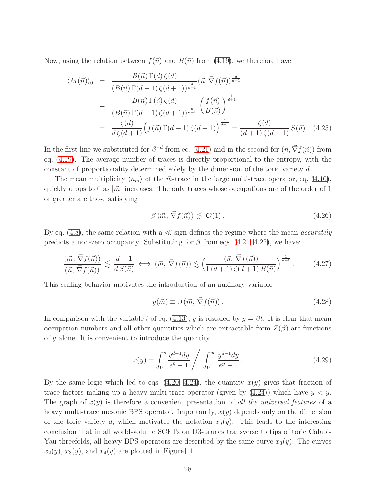Now, using the relation between  $f(\vec{n})$  and  $B(\vec{n})$  from [\(4.19\)](#page-28-1), we therefore have

<span id="page-29-2"></span>
$$
\langle M(\vec{n})\rangle_0 = \frac{B(\vec{n}) \Gamma(d) \zeta(d)}{(B(\vec{n}) \Gamma(d+1) \zeta(d+1))^{\frac{d}{d+1}}} (\vec{n}, \vec{\nabla} f(\vec{n}))^{\frac{d}{d+1}} \n= \frac{B(\vec{n}) \Gamma(d) \zeta(d)}{(B(\vec{n}) \Gamma(d+1) \zeta(d+1))^{\frac{d}{d+1}}} \left(\frac{f(\vec{n})}{B(\vec{n})}\right)^{\frac{1}{d+1}} \n= \frac{\zeta(d)}{d\zeta(d+1)} \left(f(\vec{n}) \Gamma(d+1) \zeta(d+1)\right)^{\frac{1}{d+1}} = \frac{\zeta(d)}{(d+1)\zeta(d+1)} S(\vec{n}). \tag{4.25}
$$

In the first line we substituted for  $\beta^{-d}$  from eq. [\(4.21\)](#page-28-2) and in the second for  $(\vec{n}, \vec{\nabla} f(\vec{n}))$  from eq. [\(4.19\)](#page-28-1). The average number of traces is directly proportional to the entropy, with the constant of proportionality determined solely by the dimension of the toric variety d.

The mean multiplicity  $\langle n_{\vec{m}} \rangle$  of the  $\vec{m}$ -trace in the large multi-trace operator, eq. [\(4.10\)](#page-27-3), quickly drops to 0 as  $|\vec{m}|$  increases. The only traces whose occupations are of the order of 1 or greater are those satisfying

<span id="page-29-1"></span>
$$
\beta(\vec{m}, \vec{\nabla} f(\vec{n})) \lesssim \mathcal{O}(1). \tag{4.26}
$$

By eq.  $(4.8)$ , the same relation with a  $\ll$  sign defines the regime where the mean *accurately* predicts a non-zero occupancy. Substituting for  $\beta$  from eqs. [\(4.21,](#page-28-2) [4.22\)](#page-28-3), we have:

$$
\frac{(\vec{m}, \vec{\nabla} f(\vec{n}))}{(\vec{n}, \vec{\nabla} f(\vec{n}))} \lesssim \frac{d+1}{d S(\vec{n})} \iff (\vec{m}, \vec{\nabla} f(\vec{n})) \lesssim \left(\frac{(\vec{n}, \vec{\nabla} f(\vec{n}))}{\Gamma(d+1) \zeta(d+1) B(\vec{n})}\right)^{\frac{1}{d+1}}.\tag{4.27}
$$

This scaling behavior motivates the introduction of an auxiliary variable

$$
y(\vec{m}) \equiv \beta(\vec{m}, \vec{\nabla} f(\vec{n})). \tag{4.28}
$$

In comparison with the variable t of eq. [\(4.13\)](#page-27-1), y is rescaled by  $y = \beta t$ . It is clear that mean occupation numbers and all other quantities which are extractable from  $Z(\beta)$  are functions of y alone. It is convenient to introduce the quantity

<span id="page-29-0"></span>
$$
x(y) = \int_0^y \frac{\tilde{y}^{d-1} d\tilde{y}}{e^{\tilde{y}} - 1} / \int_0^\infty \frac{\tilde{y}^{d-1} d\tilde{y}}{e^{\tilde{y}} - 1}.
$$
 (4.29)

By the same logic which led to eqs.  $(4.20, 4.24)$  $(4.20, 4.24)$ , the quantity  $x(y)$  gives that fraction of trace factors making up a heavy multi-trace operator (given by  $(4.24)$ ) which have  $\tilde{y} < y$ . The graph of  $x(y)$  is therefore a convenient presentation of all the universal features of a heavy multi-trace mesonic BPS operator. Importantly,  $x(y)$  depends only on the dimension of the toric variety d, which motivates the notation  $x_d(y)$ . This leads to the interesting conclusion that in all world-volume SCFTs on D3-branes transverse to tips of toric Calabi-Yau threefolds, all heavy BPS operators are described by the same curve  $x_3(y)$ . The curves  $x_2(y)$ ,  $x_3(y)$ , and  $x_4(y)$  are plotted in Figure [11.](#page-30-0)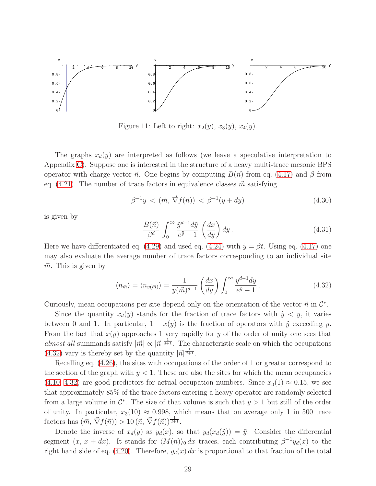

<span id="page-30-0"></span>Figure 11: Left to right:  $x_2(y)$ ,  $x_3(y)$ ,  $x_4(y)$ .

The graphs  $x_d(y)$  are interpreted as follows (we leave a speculative interpretation to Appendix [C\)](#page-45-0). Suppose one is interested in the structure of a heavy multi-trace mesonic BPS operator with charge vector  $\vec{n}$ . One begins by computing  $B(\vec{n})$  from eq. [\(4.17\)](#page-27-4) and  $\beta$  from eq.  $(4.21)$ . The number of trace factors in equivalence classes  $\vec{m}$  satisfying

$$
\beta^{-1}y \, < \, (\vec{m}, \vec{\nabla}f(\vec{n})) \, < \, \beta^{-1}(y + dy) \tag{4.30}
$$

is given by

$$
\frac{B(\vec{n})}{\beta^d} \int_0^\infty \frac{\tilde{y}^{d-1} d\tilde{y}}{e^{\tilde{y}} - 1} \left(\frac{dx}{dy}\right) dy.
$$
\n(4.31)

Here we have differentiated eq. [\(4.29\)](#page-29-0) and used eq. [\(4.24\)](#page-28-5) with  $\tilde{y} = \beta t$ . Using eq. [\(4.17\)](#page-27-4) one may also evaluate the average number of trace factors corresponding to an individual site  $\vec{m}$ . This is given by

<span id="page-30-1"></span>
$$
\langle n_{\vec{m}} \rangle = \langle n_{y(\vec{m})} \rangle = \frac{1}{y(\vec{m})^{d-1}} \left( \frac{dx}{dy} \right) \int_0^\infty \frac{\tilde{y}^{d-1} d\tilde{y}}{e^{\tilde{y}} - 1} . \tag{4.32}
$$

Curiously, mean occupations per site depend only on the orientation of the vector  $\vec{n}$  in  $\mathcal{C}^*$ .

Since the quantity  $x_d(y)$  stands for the fraction of trace factors with  $\tilde{y} \lt y$ , it varies between 0 and 1. In particular,  $1 - x(y)$  is the fraction of operators with  $\tilde{y}$  exceeding y. From the fact that  $x(y)$  approaches 1 very rapidly for y of the order of unity one sees that almost all summands satisfy  $|\vec{m}| \propto |\vec{n}|^{\frac{1}{d+1}}$ . The characteristic scale on which the occupations [\(4.32\)](#page-30-1) vary is thereby set by the quantity  $|\vec{n}|^{\frac{1}{d+1}}$ .

Recalling eq. [\(4.26\)](#page-29-1), the sites with occupations of the order of 1 or greater correspond to the section of the graph with  $y < 1$ . These are also the sites for which the mean occupancies [\(4.10,](#page-27-3) [4.32\)](#page-30-1) are good predictors for actual occupation numbers. Since  $x_3(1) \approx 0.15$ , we see that approximately 85% of the trace factors entering a heavy operator are randomly selected from a large volume in  $\mathcal{C}^*$ . The size of that volume is such that  $y > 1$  but still of the order of unity. In particular,  $x_3(10) \approx 0.998$ , which means that on average only 1 in 500 trace factors has  $(\vec{m}, \vec{\nabla} f(\vec{n})) > 10 (\vec{n}, \vec{\nabla} f(\vec{n}))^{\frac{1}{d+1}}$ .

Denote the inverse of  $x_d(y)$  as  $y_d(x)$ , so that  $y_d(x_d(\tilde{y})) = \tilde{y}$ . Consider the differential segment  $(x, x + dx)$ . It stands for  $\langle M(\vec{n})\rangle_0 dx$  traces, each contributing  $\beta^{-1}y_d(x)$  to the right hand side of eq. [\(4.20\)](#page-28-4). Therefore,  $y_d(x) dx$  is proportional to that fraction of the total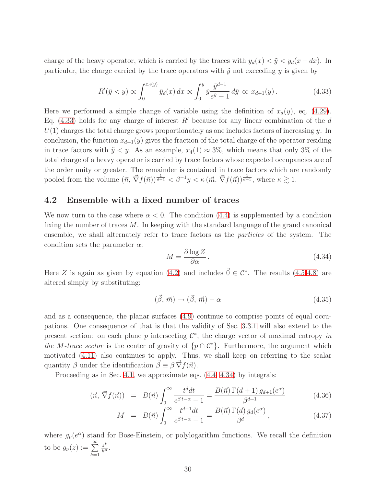charge of the heavy operator, which is carried by the traces with  $y_d(x) < \tilde{y} < y_d(x + dx)$ . In particular, the charge carried by the trace operators with  $\tilde{y}$  not exceeding y is given by

<span id="page-31-1"></span>
$$
R'(\tilde{y} < y) \propto \int_0^{x_d(y)} \tilde{y}_d(x) \, dx \propto \int_0^y \tilde{y} \frac{\tilde{y}^{d-1}}{e^{\tilde{y}} - 1} \, d\tilde{y} \propto x_{d+1}(y) \,. \tag{4.33}
$$

Here we performed a simple change of variable using the definition of  $x_d(y)$ , eq. [\(4.29\)](#page-29-0). Eq.  $(4.33)$  holds for any charge of interest R' because for any linear combination of the d  $U(1)$  charges the total charge grows proportionately as one includes factors of increasing y. In conclusion, the function  $x_{d+1}(y)$  gives the fraction of the total charge of the operator residing in trace factors with  $\tilde{y} < y$ . As an example,  $x_4(1) \approx 3\%$ , which means that only 3% of the total charge of a heavy operator is carried by trace factors whose expected occupancies are of the order unity or greater. The remainder is contained in trace factors which are randomly pooled from the volume  $(\vec{n}, \vec{\nabla} f(\vec{n}))^{\frac{1}{d+1}} < \beta^{-1}y < \kappa (\vec{m}, \vec{\nabla} f(\vec{n}))^{\frac{1}{d+1}}$ , where  $\kappa \gtrsim 1$ .

## <span id="page-31-0"></span>4.2 Ensemble with a fixed number of traces

We now turn to the case where  $\alpha < 0$ . The condition [\(4.4\)](#page-25-4) is supplemented by a condition fixing the number of traces M. In keeping with the standard language of the grand canonical ensemble, we shall alternately refer to trace factors as the particles of the system. The condition sets the parameter  $\alpha$ :

<span id="page-31-2"></span>
$$
M = \frac{\partial \log Z}{\partial \alpha} \,. \tag{4.34}
$$

Here Z is again as given by equation [\(4.2\)](#page-25-2) and includes  $\vec{0} \in C^*$ . The results [\(4.5](#page-26-0)[-4.8\)](#page-26-4) are altered simply by substituting:

<span id="page-31-3"></span>
$$
(\vec{\beta}, \vec{m}) \rightarrow (\vec{\beta}, \vec{m}) - \alpha \tag{4.35}
$$

and as a consequence, the planar surfaces [\(4.9\)](#page-26-2) continue to comprise points of equal occupations. One consequence of that is that the validity of Sec. [3.3.1](#page-19-0) will also extend to the present section: on each plane  $p$  intersecting  $\mathcal{C}^*$ , the charge vector of maximal entropy in the M-trace sector is the center of gravity of  $\{p \cap C^*\}$ . Furthermore, the argument which motivated [\(4.11\)](#page-27-5) also continues to apply. Thus, we shall keep on referring to the scalar quantity  $\beta$  under the identification  $\vec{\beta} \equiv \beta \vec{\nabla} f(\vec{n}).$ 

Proceeding as in Sec. [4.1,](#page-25-0) we approximate eqs. [\(4.4,](#page-25-4) [4.34\)](#page-31-2) by integrals:

$$
(\vec{n}, \vec{\nabla} f(\vec{n})) = B(\vec{n}) \int_0^\infty \frac{t^d dt}{e^{\beta t - \alpha} - 1} = \frac{B(\vec{n}) \Gamma(d+1) g_{d+1}(e^{\alpha})}{\beta^{d+1}} \tag{4.36}
$$

$$
M = B(\vec{n}) \int_0^\infty \frac{t^{d-1} dt}{e^{\beta t - \alpha} - 1} = \frac{B(\vec{n}) \Gamma(d) g_d(e^{\alpha})}{\beta^d}, \qquad (4.37)
$$

where  $g_{\nu}(e^{\alpha})$  stand for Bose-Einstein, or polylogarithm functions. We recall the definition to be  $g_{\nu}(z) := \sum^{\infty}$  $_{k=1}$  $\frac{z^k}{k^n}$ .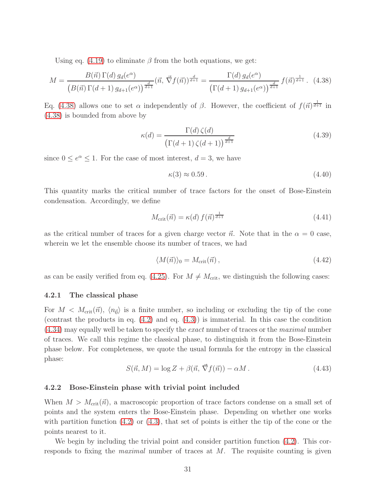Using eq. [\(4.19\)](#page-28-1) to eliminate  $\beta$  from the both equations, we get:

<span id="page-32-2"></span>
$$
M = \frac{B(\vec{n}) \Gamma(d) g_d(e^{\alpha})}{\left(B(\vec{n}) \Gamma(d+1) g_{d+1}(e^{\alpha})\right)^{\frac{d}{d+1}}} (\vec{n}, \vec{\nabla} f(\vec{n}))^{\frac{d}{d+1}} = \frac{\Gamma(d) g_d(e^{\alpha})}{\left(\Gamma(d+1) g_{d+1}(e^{\alpha})\right)^{\frac{d}{d+1}}} f(\vec{n})^{\frac{1}{d+1}}.
$$
 (4.38)

Eq. [\(4.38\)](#page-32-2) allows one to set  $\alpha$  independently of  $\beta$ . However, the coefficient of  $f(\vec{n})^{\frac{1}{d+1}}$  in [\(4.38\)](#page-32-2) is bounded from above by

$$
\kappa(d) = \frac{\Gamma(d)\,\zeta(d)}{\left(\Gamma(d+1)\,\zeta(d+1)\right)^{\frac{d}{d+1}}}\tag{4.39}
$$

since  $0 \le e^{\alpha} \le 1$ . For the case of most interest,  $d = 3$ , we have

$$
\kappa(3) \approx 0.59\,. \tag{4.40}
$$

This quantity marks the critical number of trace factors for the onset of Bose-Einstein condensation. Accordingly, we define

<span id="page-32-3"></span>
$$
M_{\rm crit}(\vec{n}) = \kappa(d) f(\vec{n})^{\frac{1}{d+1}} \tag{4.41}
$$

as the critical number of traces for a given charge vector  $\vec{n}$ . Note that in the  $\alpha = 0$  case, wherein we let the ensemble choose its number of traces, we had

$$
\langle M(\vec{n})\rangle_0 = M_{\rm crit}(\vec{n})\,,\tag{4.42}
$$

<span id="page-32-0"></span>as can be easily verified from eq. [\(4.25\)](#page-29-2). For  $M \neq M_{\text{crit}}$ , we distinguish the following cases:

#### 4.2.1 The classical phase

For  $M < M_{\text{crit}}(\vec{n})$ ,  $\langle n_{\vec{0}} \rangle$  is a finite number, so including or excluding the tip of the cone (contrast the products in eq.  $(4.2)$  and eq.  $(4.3)$ ) is immaterial. In this case the condition [\(4.34\)](#page-31-2) may equally well be taken to specify the exact number of traces or the maximal number of traces. We call this regime the classical phase, to distinguish it from the Bose-Einstein phase below. For completeness, we quote the usual formula for the entropy in the classical phase:

$$
S(\vec{n}, M) = \log Z + \beta(\vec{n}, \vec{\nabla} f(\vec{n})) - \alpha M. \qquad (4.43)
$$

#### <span id="page-32-1"></span>4.2.2 Bose-Einstein phase with trivial point included

When  $M > M_{\text{crit}}(\vec{n})$ , a macroscopic proportion of trace factors condense on a small set of points and the system enters the Bose-Einstein phase. Depending on whether one works with partition function  $(4.2)$  or  $(4.3)$ , that set of points is either the tip of the cone or the points nearest to it.

We begin by including the trivial point and consider partition function [\(4.2\)](#page-25-2). This corresponds to fixing the *maximal* number of traces at  $M$ . The requisite counting is given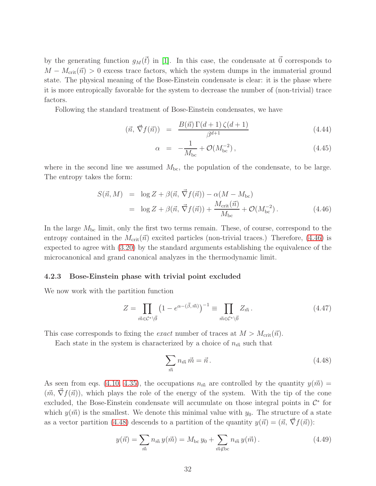by the generating function  $g_M(\vec{t})$  in [\[1\]](#page-46-0). In this case, the condensate at  $\vec{0}$  corresponds to  $M - M_{\rm crit}(\vec{n}) > 0$  excess trace factors, which the system dumps in the immaterial ground state. The physical meaning of the Bose-Einstein condensate is clear: it is the phase where it is more entropically favorable for the system to decrease the number of (non-trivial) trace factors.

Following the standard treatment of Bose-Einstein condensates, we have

$$
(\vec{n}, \vec{\nabla} f(\vec{n})) = \frac{B(\vec{n}) \Gamma(d+1) \zeta(d+1)}{\beta^{d+1}} \tag{4.44}
$$

$$
\alpha = -\frac{1}{M_{\rm bc}} + \mathcal{O}(M_{\rm bc}^{-2}), \qquad (4.45)
$$

where in the second line we assumed  $M_{\rm bc}$ , the population of the condensate, to be large. The entropy takes the form:

<span id="page-33-1"></span>
$$
S(\vec{n}, M) = \log Z + \beta(\vec{n}, \vec{\nabla} f(\vec{n})) - \alpha(M - M_{\text{bc}})
$$
  
= 
$$
\log Z + \beta(\vec{n}, \vec{\nabla} f(\vec{n})) + \frac{M_{\text{crit}}(\vec{n})}{M_{\text{bc}}} + \mathcal{O}(M_{\text{bc}}^{-2}).
$$
 (4.46)

In the large  $M_{\text{bc}}$  limit, only the first two terms remain. These, of course, correspond to the entropy contained in the  $M_{\text{crit}}(\vec{n})$  excited particles (non-trivial traces.) Therefore, [\(4.46\)](#page-33-1) is expected to agree with [\(3.20\)](#page-17-1) by the standard arguments establishing the equivalence of the microcanonical and grand canonical analyzes in the thermodynamic limit.

#### <span id="page-33-0"></span>4.2.3 Bose-Einstein phase with trivial point excluded

We now work with the partition function

$$
Z = \prod_{\vec{m} \in \mathcal{C}^* \backslash \vec{0}} \left(1 - e^{\alpha - (\vec{\beta}, \vec{m})}\right)^{-1} \equiv \prod_{\vec{m} \in \mathcal{C}^* \backslash \vec{0}} Z_{\vec{m}} \,. \tag{4.47}
$$

This case corresponds to fixing the *exact* number of traces at  $M > M_{\rm crit}(\vec{n})$ .

Each state in the system is characterized by a choice of  $n_{\vec{m}}$  such that

<span id="page-33-2"></span>
$$
\sum_{\vec{m}} n_{\vec{m}} \,\vec{m} = \vec{n} \,. \tag{4.48}
$$

As seen from eqs. [\(4.10,](#page-27-3) [4.35\)](#page-31-3), the occupations  $n_{\vec{m}}$  are controlled by the quantity  $y(\vec{m}) =$  $({\vec{m}}, \vec{\nabla}f({\vec{n}}))$ , which plays the role of the energy of the system. With the tip of the cone excluded, the Bose-Einstein condensate will accumulate on those integral points in  $\mathcal{C}^*$  for which  $y(\vec{m})$  is the smallest. We denote this minimal value with  $y_0$ . The structure of a state as a vector partition [\(4.48\)](#page-33-2) descends to a partition of the quantity  $y(\vec{n}) = (\vec{n}, \vec{\nabla} f(\vec{n}))$ :

<span id="page-33-3"></span>
$$
y(\vec{n}) = \sum_{\vec{m}} n_{\vec{m}} y(\vec{m}) = M_{bc} y_0 + \sum_{\vec{m} \notin bc} n_{\vec{m}} y(\vec{m}).
$$
 (4.49)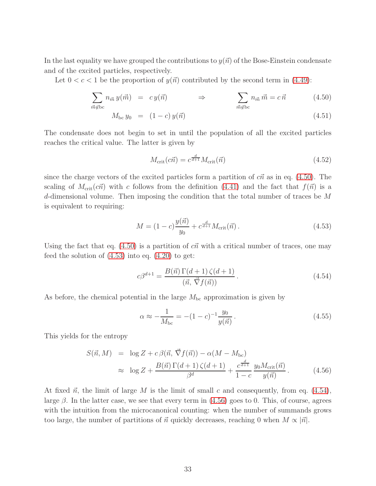In the last equality we have grouped the contributions to  $y(\vec{n})$  of the Bose-Einstein condensate and of the excited particles, respectively.

Let  $0 < c < 1$  be the proportion of  $y(\vec{n})$  contributed by the second term in [\(4.49\)](#page-33-3):

<span id="page-34-0"></span>
$$
\sum_{\vec{m}\notin\text{bc}} n_{\vec{m}} y(\vec{m}) = c y(\vec{n}) \qquad \Rightarrow \qquad \sum_{\vec{m}\notin\text{bc}} n_{\vec{m}} \vec{m} = c \vec{n} \qquad (4.50)
$$

$$
M_{\text{bc}} y_0 = (1 - c) y(\vec{n}) \tag{4.51}
$$

The condensate does not begin to set in until the population of all the excited particles reaches the critical value. The latter is given by

$$
M_{\rm crit}(c\vec{n}) = c^{\frac{d}{d+1}} M_{\rm crit}(\vec{n})
$$
\n(4.52)

since the charge vectors of the excited particles form a partition of  $c\vec{n}$  as in eq. [\(4.50\)](#page-34-0). The scaling of  $M_{\text{crit}}(c\vec{n})$  with c follows from the definition [\(4.41\)](#page-32-3) and the fact that  $f(\vec{n})$  is a d-dimensional volume. Then imposing the condition that the total number of traces be M is equivalent to requiring:

<span id="page-34-1"></span>
$$
M = (1 - c)\frac{y(\vec{n})}{y_0} + c^{\frac{d}{d+1}}M_{\text{crit}}(\vec{n}).
$$
\n(4.53)

Using the fact that eq. [\(4.50\)](#page-34-0) is a partition of  $c\vec{n}$  with a critical number of traces, one may feed the solution of  $(4.53)$  into eq.  $(4.20)$  to get:

<span id="page-34-2"></span>
$$
c\beta^{d+1} = \frac{B(\vec{n})\,\Gamma(d+1)\,\zeta(d+1)}{(\vec{n},\,\vec{\nabla}f(\vec{n}))}.\tag{4.54}
$$

As before, the chemical potential in the large  $M_{\text{bc}}$  approximation is given by

$$
\alpha \approx -\frac{1}{M_{\text{bc}}} = -(1-c)^{-1} \frac{y_0}{y(\vec{n})}.
$$
\n(4.55)

This yields for the entropy

<span id="page-34-3"></span>
$$
S(\vec{n}, M) = \log Z + c \beta(\vec{n}, \vec{\nabla} f(\vec{n})) - \alpha(M - M_{bc})
$$
  

$$
\approx \log Z + \frac{B(\vec{n}) \Gamma(d+1) \zeta(d+1)}{\beta^d} + \frac{c^{\frac{d}{d+1}}}{1-c} \frac{y_0 M_{\text{crit}}(\vec{n})}{y(\vec{n})}.
$$
 (4.56)

At fixed  $\vec{n}$ , the limit of large M is the limit of small c and consequently, from eq. [\(4.54\)](#page-34-2), large  $\beta$ . In the latter case, we see that every term in  $(4.56)$  goes to 0. This, of course, agrees with the intuition from the microcanonical counting: when the number of summands grows too large, the number of partitions of  $\vec{n}$  quickly decreases, reaching 0 when  $M \propto |\vec{n}|$ .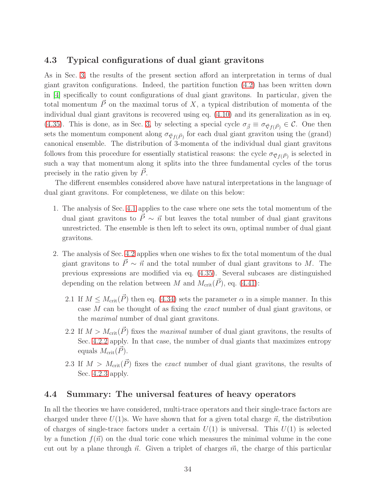## <span id="page-35-0"></span>4.3 Typical configurations of dual giant gravitons

As in Sec. [3,](#page-11-0) the results of the present section afford an interpretation in terms of dual giant graviton configurations. Indeed, the partition function [\(4.2\)](#page-25-2) has been written down in [\[4\]](#page-47-0) specifically to count configurations of dual giant gravitons. In particular, given the total momentum  $\vec{P}$  on the maximal torus of X, a typical distribution of momenta of the individual dual giant gravitons is recovered using eq. [\(4.10\)](#page-27-3) and its generalization as in eq. [\(4.35\)](#page-31-3). This is done, as in Sec. [3,](#page-11-0) by selecting a special cycle  $\sigma_{\vec{\beta}} \equiv \sigma_{\vec{\nabla}f(\vec{P})} \in \mathcal{C}$ . One then sets the momentum component along  $\sigma_{\vec{\nabla} f(\vec{P})}$  for each dual giant graviton using the (grand) canonical ensemble. The distribution of 3-momenta of the individual dual giant gravitons follows from this procedure for essentially statistical reasons: the cycle  $\sigma_{\vec{\nabla}f(\vec{P})}$  is selected in such a way that momentum along it splits into the three fundamental cycles of the torus precisely in the ratio given by  $P$ .

The different ensembles considered above have natural interpretations in the language of dual giant gravitons. For completeness, we dilate on this below:

- 1. The analysis of Sec. [4.1](#page-25-0) applies to the case where one sets the total momentum of the dual giant gravitons to  $\vec{P} \sim \vec{n}$  but leaves the total number of dual giant gravitons unrestricted. The ensemble is then left to select its own, optimal number of dual giant gravitons.
- 2. The analysis of Sec. [4.2](#page-31-0) applies when one wishes to fix the total momentum of the dual giant gravitons to  $\vec{P} \sim \vec{n}$  and the total number of dual giant gravitons to M. The previous expressions are modified via eq. [\(4.35\)](#page-31-3). Several subcases are distinguished depending on the relation between M and  $M_{\text{crit}}(\vec{P})$ , eq. [\(4.41\)](#page-32-3):
	- 2.1 If  $M \leq M_{\rm crit}(\vec{P})$  then eq. [\(4.34\)](#page-31-2) sets the parameter  $\alpha$  in a simple manner. In this case M can be thought of as fixing the exact number of dual giant gravitons, or the maximal number of dual giant gravitons.
	- 2.2 If  $M > M_{\rm crit}(\vec{P})$  fixes the maximal number of dual giant gravitons, the results of Sec. [4.2.2](#page-32-1) apply. In that case, the number of dual giants that maximizes entropy equals  $M_{\rm crit}(P)$ .
	- 2.3 If  $M > M_{\text{crit}}(\vec{P})$  fixes the *exact* number of dual giant gravitons, the results of Sec. [4.2.3](#page-33-0) apply.

## <span id="page-35-1"></span>4.4 Summary: The universal features of heavy operators

In all the theories we have considered, multi-trace operators and their single-trace factors are charged under three  $U(1)$ s. We have shown that for a given total charge  $\vec{n}$ , the distribution of charges of single-trace factors under a certain  $U(1)$  is universal. This  $U(1)$  is selected by a function  $f(\vec{n})$  on the dual toric cone which measures the minimal volume in the cone cut out by a plane through  $\vec{n}$ . Given a triplet of charges  $\vec{m}$ , the charge of this particular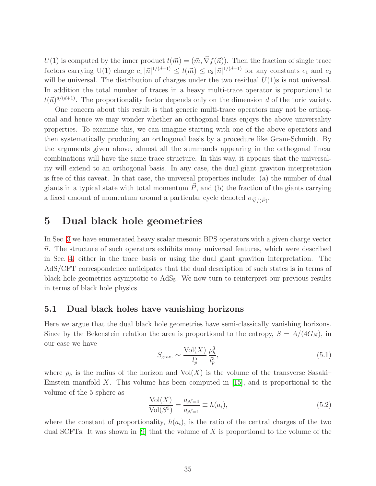$U(1)$  is computed by the inner product  $t(m) = (\vec{m}, \vec{\nabla} f(\vec{n}))$ . Then the fraction of single trace factors carrying U(1) charge  $c_1 |\vec{n}|^{1/(d+1)} \le t(\vec{m}) \le c_2 |\vec{n}|^{1/(d+1)}$  for any constants  $c_1$  and  $c_2$ will be universal. The distribution of charges under the two residual  $U(1)$ s is not universal. In addition the total number of traces in a heavy multi-trace operator is proportional to  $t(\vec{n})^{d/(d+1)}$ . The proportionality factor depends only on the dimension d of the toric variety.

One concern about this result is that generic multi-trace operators may not be orthogonal and hence we may wonder whether an orthogonal basis enjoys the above universality properties. To examine this, we can imagine starting with one of the above operators and then systematically producing an orthogonal basis by a procedure like Gram-Schmidt. By the arguments given above, almost all the summands appearing in the orthogonal linear combinations will have the same trace structure. In this way, it appears that the universality will extend to an orthogonal basis. In any case, the dual giant graviton interpretation is free of this caveat. In that case, the universal properties include: (a) the number of dual giants in a typical state with total momentum  $\vec{P}$ , and (b) the fraction of the giants carrying a fixed amount of momentum around a particular cycle denoted  $\sigma_{\vec{\nabla} f(\vec{P})}$ .

# <span id="page-36-0"></span>5 Dual black hole geometries

In Sec. [3](#page-11-0) we have enumerated heavy scalar mesonic BPS operators with a given charge vector  $\vec{n}$ . The structure of such operators exhibits many universal features, which were described in Sec. [4,](#page-24-1) either in the trace basis or using the dual giant graviton interpretation. The AdS/CFT correspondence anticipates that the dual description of such states is in terms of black hole geometries asymptotic to  $AdS<sub>5</sub>$ . We now turn to reinterpret our previous results in terms of black hole physics.

## <span id="page-36-1"></span>5.1 Dual black holes have vanishing horizons

Here we argue that the dual black hole geometries have semi-classically vanishing horizons. Since by the Bekenstein relation the area is proportional to the entropy,  $S = A/(4G_N)$ , in our case we have

$$
S_{\text{grav.}} \sim \frac{\text{Vol}(X)}{l_p^5} \frac{\rho_h^3}{l_p^3},\tag{5.1}
$$

where  $\rho_h$  is the radius of the horizon and  $Vol(X)$  is the volume of the transverse Sasaki– Einstein manifold X. This volume has been computed in  $[15]$ , and is proportional to the volume of the 5-sphere as

$$
\frac{\text{Vol}(X)}{\text{Vol}(S^5)} = \frac{a_{\mathcal{N}=4}}{a_{\mathcal{N}=1}} \equiv h(a_i),\tag{5.2}
$$

where the constant of proportionality,  $h(a_i)$ , is the ratio of the central charges of the two dual SCFTs. It was shown in [\[9\]](#page-47-5) that the volume of X is proportional to the volume of the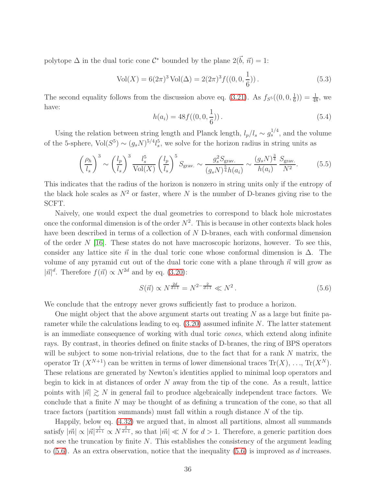polytope  $\Delta$  in the dual toric cone  $\mathcal{C}^*$  bounded by the plane  $2(\vec{b}, \vec{n}) = 1$ :

$$
Vol(X) = 6(2\pi)^3 Vol(\Delta) = 2(2\pi)^3 f((0, 0, \frac{1}{6})).
$$
\n(5.3)

The second equality follows from the discussion above eq. [\(3.21\)](#page-17-3). As  $f_{S^5}((0,0,\frac{1}{6}))$  $(\frac{1}{6})$  =  $\frac{1}{48}$ , we have:

$$
h(a_i) = 48f((0, 0, \frac{1}{6})).
$$
\n(5.4)

Using the relation between string length and Planck length,  $l_p/l_s \sim g_s^{1/4}$ , and the volume of the 5-sphere,  $\text{Vol}(S^5) \sim (g_s N)^{5/4} l_s^5$ , we solve for the horizon radius in string units as

<span id="page-37-1"></span>
$$
\left(\frac{\rho_h}{l_s}\right)^3 \sim \left(\frac{l_p}{l_s}\right)^3 \frac{l_s^5}{\text{Vol}(X)} \left(\frac{l_p}{l_s}\right)^5 S_{\text{grav.}} \sim \frac{g_s^2 S_{\text{grav.}}}{(g_s N)^{\frac{5}{4}} h(a_i)} \sim \frac{(g_s N)^{\frac{3}{4}}}{h(a_i)} \frac{S_{\text{grav.}}}{N^2}.
$$
 (5.5)

This indicates that the radius of the horizon is nonzero in string units only if the entropy of the black hole scales as  $N^2$  or faster, where N is the number of D-branes giving rise to the SCFT.

Naively, one would expect the dual geometries to correspond to black hole microstates once the conformal dimension is of the order  $N^2$ . This is because in other contexts black holes have been described in terms of a collection of N D-branes, each with conformal dimension of the order  $N$  [\[16\]](#page-48-1). These states do not have macroscopic horizons, however. To see this, consider any lattice site  $\vec{n}$  in the dual toric cone whose conformal dimension is  $\Delta$ . The volume of any pyramid cut out of the dual toric cone with a plane through  $\vec{n}$  will grow as  $|\vec{n}|^d$ . Therefore  $f(\vec{n}) \propto N^{2d}$  and by eq. [\(3.20\)](#page-17-1):

<span id="page-37-0"></span>
$$
S(\vec{n}) \propto N^{\frac{2d}{d+1}} = N^{2-\frac{2}{d+1}} \ll N^2.
$$
\n(5.6)

We conclude that the entropy never grows sufficiently fast to produce a horizon.

One might object that the above argument starts out treating  $N$  as a large but finite parameter while the calculations leading to eq.  $(3.20)$  assumed infinite N. The latter statement is an immediate consequence of working with dual toric cones, which extend along infinite rays. By contrast, in theories defined on finite stacks of D-branes, the ring of BPS operators will be subject to some non-trivial relations, due to the fact that for a rank N matrix, the operator Tr  $(X^{N+1})$  can be written in terms of lower dimensional traces  $\text{Tr}(X), \ldots, \text{Tr}(X^N)$ . These relations are generated by Newton's identities applied to minimal loop operators and begin to kick in at distances of order  $N$  away from the tip of the cone. As a result, lattice points with  $|\vec{n}| \gtrsim N$  in general fail to produce algebraically independent trace factors. We conclude that a finite  $N$  may be thought of as defining a truncation of the cone, so that all trace factors (partition summands) must fall within a rough distance N of the tip.

Happily, below eq. [\(4.32\)](#page-30-1) we argued that, in almost all partitions, almost all summands satisfy  $|\vec{m}| \propto |\vec{n}|^{\frac{1}{d+1}} \propto N^{\frac{2}{d+1}}$ , so that  $|\vec{m}| \ll N$  for  $d > 1$ . Therefore, a generic partition does not see the truncation by finite N. This establishes the consistency of the argument leading to  $(5.6)$ . As an extra observation, notice that the inequality  $(5.6)$  is improved as d increases.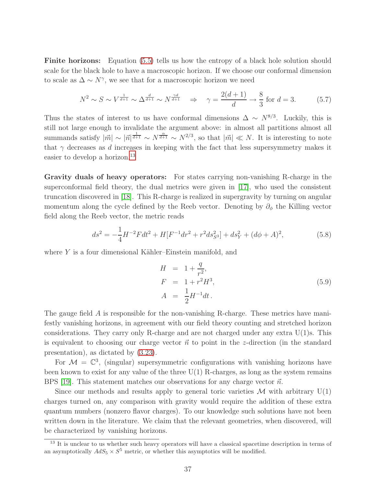Finite horizons: Equation [\(5.5\)](#page-37-1) tells us how the entropy of a black hole solution should scale for the black hole to have a macroscopic horizon. If we choose our conformal dimension to scale as  $\Delta \sim N^{\gamma}$ , we see that for a macroscopic horizon we need

$$
N^2 \sim S \sim V^{\frac{1}{d+1}} \sim \Delta^{\frac{d}{d+1}} \sim N^{\frac{\gamma d}{d+1}} \quad \Rightarrow \quad \gamma = \frac{2(d+1)}{d} \to \frac{8}{3} \text{ for } d = 3. \tag{5.7}
$$

Thus the states of interest to us have conformal dimensions  $\Delta \sim N^{8/3}$ . Luckily, this is still not large enough to invalidate the argument above: in almost all partitions almost all summands satisfy  $|\vec{m}| \sim |\vec{n}|^{\frac{1}{d+1}} \sim N^{\frac{\alpha}{d+1}} \sim N^{2/3}$ , so that  $|\vec{m}| \ll N$ . It is interesting to note that  $\gamma$  decreases as d increases in keeping with the fact that less supersymmetry makes it easier to develop a horizon.<sup>[13](#page-38-0)</sup>

Gravity duals of heavy operators: For states carrying non-vanishing R-charge in the superconformal field theory, the dual metrics were given in [\[17\]](#page-48-2), who used the consistent truncation discovered in [\[18\]](#page-48-3). This R-charge is realized in supergravity by turning on angular momentum along the cycle defined by the Reeb vector. Denoting by  $\partial_{\phi}$  the Killing vector field along the Reeb vector, the metric reads

$$
ds^{2} = -\frac{1}{4}H^{-2}Fdt^{2} + H[F^{-1}dr^{2} + r^{2}ds_{S^{3}}^{2}] + ds_{Y}^{2} + (d\phi + A)^{2},
$$
\n(5.8)

where  $Y$  is a four dimensional Kähler–Einstein manifold, and

$$
H = 1 + \frac{q}{r^2},
$$
  
\n
$$
F = 1 + r^2 H^3,
$$
  
\n
$$
A = \frac{1}{2} H^{-1} dt.
$$
\n(5.9)

The gauge field  $\vec{A}$  is responsible for the non-vanishing R-charge. These metrics have manifestly vanishing horizons, in agreement with our field theory counting and stretched horizon considerations. They carry only R-charge and are not charged under any extra  $U(1)$ s. This is equivalent to choosing our charge vector  $\vec{n}$  to point in the z-direction (in the standard presentation), as dictated by [\(3.23\)](#page-18-1).

For  $\mathcal{M} = \mathbb{C}^3$ , (singular) supersymmetric configurations with vanishing horizons have been known to exist for any value of the three  $U(1)$  R-charges, as long as the system remains BPS [\[19\]](#page-48-4). This statement matches our observations for any charge vector  $\vec{n}$ .

Since our methods and results apply to general toric varieties  $\mathcal M$  with arbitrary  $U(1)$ charges turned on, any comparison with gravity would require the addition of these extra quantum numbers (nonzero flavor charges). To our knowledge such solutions have not been written down in the literature. We claim that the relevant geometries, when discovered, will be characterized by vanishing horizons.

<span id="page-38-0"></span><sup>&</sup>lt;sup>13</sup> It is unclear to us whether such heavy operators will have a classical spacetime description in terms of an asymptotically  $AdS_5 \times S^5$  metric, or whether this asymptotics will be modified.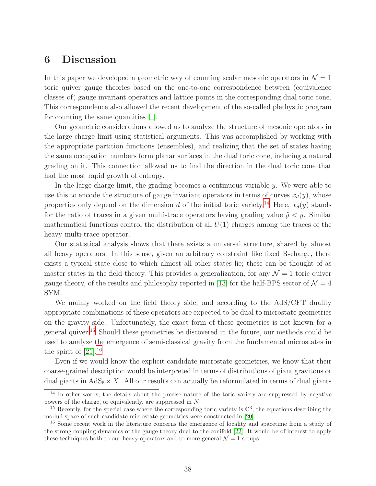# <span id="page-39-0"></span>6 Discussion

In this paper we developed a geometric way of counting scalar mesonic operators in  $\mathcal{N} = 1$ toric quiver gauge theories based on the one-to-one correspondence between (equivalence classes of) gauge invariant operators and lattice points in the corresponding dual toric cone. This correspondence also allowed the recent development of the so-called plethystic program for counting the same quantities [\[1\]](#page-46-0).

Our geometric considerations allowed us to analyze the structure of mesonic operators in the large charge limit using statistical arguments. This was accomplished by working with the appropriate partition functions (ensembles), and realizing that the set of states having the same occupation numbers form planar surfaces in the dual toric cone, inducing a natural grading on it. This connection allowed us to find the direction in the dual toric cone that had the most rapid growth of entropy.

In the large charge limit, the grading becomes a continuous variable  $y$ . We were able to use this to encode the structure of gauge invariant operators in terms of curves  $x_d(y)$ , whose properties only depend on the dimension d of the initial toric variety.<sup>[14](#page-39-1)</sup> Here,  $x_d(y)$  stands for the ratio of traces in a given multi-trace operators having grading value  $\tilde{y} < y$ . Similar mathematical functions control the distribution of all  $U(1)$  charges among the traces of the heavy multi-trace operator.

Our statistical analysis shows that there exists a universal structure, shared by almost all heavy operators. In this sense, given an arbitrary constraint like fixed R-charge, there exists a typical state close to which almost all other states lie; these can be thought of as master states in the field theory. This provides a generalization, for any  $\mathcal{N}=1$  toric quiver gauge theory, of the results and philosophy reported in [\[13\]](#page-47-9) for the half-BPS sector of  $\mathcal{N} = 4$ SYM.

We mainly worked on the field theory side, and according to the AdS/CFT duality appropriate combinations of these operators are expected to be dual to microstate geometries on the gravity side. Unfortunately, the exact form of these geometries is not known for a general quiver.[15](#page-39-2) Should these geometries be discovered in the future, our methods could be used to analyze the emergence of semi-classical gravity from the fundamental microstates in the spirit of  $[21]$ .<sup>[16](#page-39-3)</sup>

Even if we would know the explicit candidate microstate geometries, we know that their coarse-grained description would be interpreted in terms of distributions of giant gravitons or dual giants in  $AdS_5 \times X$ . All our results can actually be reformulated in terms of dual giants

<span id="page-39-1"></span><sup>&</sup>lt;sup>14</sup> In other words, the details about the precise nature of the toric variety are suppressed by negative powers of the charge, or equivalently, are suppressed in N.

<span id="page-39-2"></span><sup>&</sup>lt;sup>15</sup> Recently, for the special case where the corresponding toric variety is  $\mathbb{C}^3$ , the equations describing the moduli space of such candidate microstate geometries were constructed in [\[20\]](#page-48-6).

<span id="page-39-3"></span><sup>&</sup>lt;sup>16</sup> Some recent work in the literature concerns the emergence of locality and spacetime from a study of the strong coupling dynamics of the gauge theory dual to the conifold [\[22\]](#page-48-7). It would be of interest to apply these techniques both to our heavy operators and to more general  $\mathcal{N} = 1$  setups.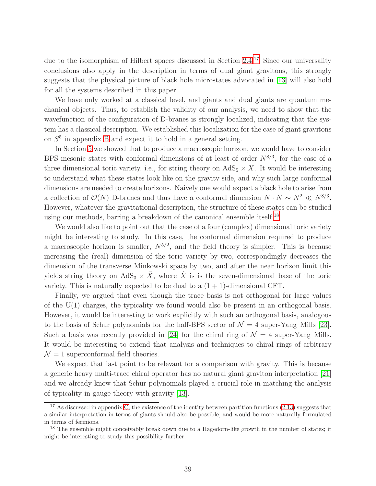due to the isomorphism of Hilbert spaces discussed in Section [2.4.](#page-9-1)<sup>[17](#page-40-0)</sup> Since our universality conclusions also apply in the description in terms of dual giant gravitons, this strongly suggests that the physical picture of black hole microstates advocated in [\[13\]](#page-47-9) will also hold for all the systems described in this paper.

We have only worked at a classical level, and giants and dual giants are quantum mechanical objects. Thus, to establish the validity of our analysis, we need to show that the wavefunction of the configuration of D-branes is strongly localized, indicating that the system has a classical description. We established this localization for the case of giant gravitons on  $S<sup>5</sup>$  in appendix [B](#page-43-0) and expect it to hold in a general setting.

In Section [5](#page-36-0) we showed that to produce a macroscopic horizon, we would have to consider BPS mesonic states with conformal dimensions of at least of order  $N^{8/3}$ , for the case of a three dimensional toric variety, i.e., for string theory on  $AdS_5 \times X$ . It would be interesting to understand what these states look like on the gravity side, and why such large conformal dimensions are needed to create horizons. Naively one would expect a black hole to arise from a collection of  $\mathcal{O}(N)$  D-branes and thus have a conformal dimension  $N \cdot N \sim N^2 \ll N^{8/3}$ . However, whatever the gravitational description, the structure of these states can be studied using our methods, barring a breakdown of the canonical ensemble itself.<sup>[18](#page-40-1)</sup>

We would also like to point out that the case of a four (complex) dimensional toric variety might be interesting to study. In this case, the conformal dimension required to produce a macroscopic horizon is smaller,  $N^{5/2}$ , and the field theory is simpler. This is because increasing the (real) dimension of the toric variety by two, correspondingly decreases the dimension of the transverse Minkowski space by two, and after the near horizon limit this yields string theory on  $AdS_3 \times \tilde{X}$ , where  $\tilde{X}$  is is the seven-dimensional base of the toric variety. This is naturally expected to be dual to a  $(1 + 1)$ -dimensional CFT.

Finally, we argued that even though the trace basis is not orthogonal for large values of the  $U(1)$  charges, the typicality we found would also be present in an orthogonal basis. However, it would be interesting to work explicitly with such an orthogonal basis, analogous to the basis of Schur polynomials for the half-BPS sector of  $\mathcal{N} = 4$  super-Yang–Mills [\[23\]](#page-48-8). Such a basis was recently provided in [\[24\]](#page-48-9) for the chiral ring of  $\mathcal{N} = 4$  super-Yang–Mills. It would be interesting to extend that analysis and techniques to chiral rings of arbitrary  $\mathcal{N}=1$  superconformal field theories.

We expect that last point to be relevant for a comparison with gravity. This is because a generic heavy multi-trace chiral operator has no natural giant graviton interpretation [\[21\]](#page-48-5) and we already know that Schur polynomials played a crucial role in matching the analysis of typicality in gauge theory with gravity [\[13\]](#page-47-9).

<span id="page-40-0"></span><sup>&</sup>lt;sup>17</sup> As discussed in appendix [C,](#page-45-0) the existence of the identity between partition functions [\(2.13\)](#page-11-2) suggests that a similar interpretation in terms of giants should also be possible, and would be more naturally formulated in terms of fermions.

<span id="page-40-1"></span><sup>&</sup>lt;sup>18</sup> The ensemble might conceivably break down due to a Hagedorn-like growth in the number of states; it might be interesting to study this possibility further.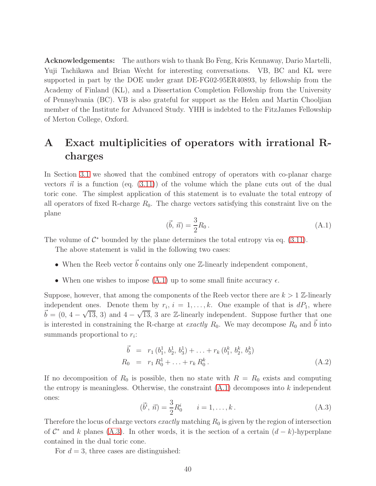Acknowledgements: The authors wish to thank Bo Feng, Kris Kennaway, Dario Martelli, Yuji Tachikawa and Brian Wecht for interesting conversations. VB, BC and KL were supported in part by the DOE under grant DE-FG02-95ER40893, by fellowship from the Academy of Finland (KL), and a Dissertation Completion Fellowship from the University of Pennsylvania (BC). VB is also grateful for support as the Helen and Martin Chooljian member of the Institute for Advanced Study. YHH is indebted to the FitzJames Fellowship of Merton College, Oxford.

# <span id="page-41-0"></span>A Exact multiplicities of operators with irrational Rcharges

In Section [3.1](#page-12-0) we showed that the combined entropy of operators with co-planar charge vectors  $\vec{n}$  is a function (eq. [\(3.11\)](#page-15-2)) of the volume which the plane cuts out of the dual toric cone. The simplest application of this statement is to evaluate the total entropy of all operators of fixed R-charge  $R_0$ . The charge vectors satisfying this constraint live on the plane

<span id="page-41-1"></span>
$$
(\vec{b}, \vec{n}) = \frac{3}{2}R_0.
$$
\n(A.1)

The volume of  $\mathcal{C}^*$  bounded by the plane determines the total entropy via eq. [\(3.11\)](#page-15-2).

The above statement is valid in the following two cases:

- When the Reeb vector  $\vec{b}$  contains only one Z-linearly independent component,
- When one wishes to impose  $(A.1)$  up to some small finite accuracy  $\epsilon$ .

Suppose, however, that among the components of the Reeb vector there are  $k > 1$  Z-linearly independent ones. Denote them by  $r_i$ ,  $i = 1, ..., k$ . One example of that is  $dP_1$ , where  $\vec{b} = (0, 4 - \sqrt{13}, 3)$  and  $4 - \sqrt{13}$ , 3 are Z-linearly independent. Suppose further that one is interested in constraining the R-charge at *exactly R*<sub>0</sub>. We may decompose  $R_0$  and b into summands proportional to  $r_i$ :

$$
\vec{b} = r_1 (b_1^1, b_2^1, b_3^1) + \ldots + r_k (b_1^k, b_2^k, b_3^k)
$$
  
\n
$$
R_0 = r_1 R_0^1 + \ldots + r_k R_0^k.
$$
\n(A.2)

If no decomposition of  $R_0$  is possible, then no state with  $R = R_0$  exists and computing the entropy is meaningless. Otherwise, the constraint  $(A.1)$  decomposes into k independent ones:

<span id="page-41-2"></span>
$$
(\vec{b}^i, \vec{n}) = \frac{3}{2} R_0^i \qquad i = 1, \dots, k \,. \tag{A.3}
$$

Therefore the locus of charge vectors *exactly* matching  $R_0$  is given by the region of intersection of  $\mathcal{C}^*$  and k planes [\(A.3\)](#page-41-2). In other words, it is the section of a certain  $(d-k)$ -hyperplane contained in the dual toric cone.

For  $d = 3$ , three cases are distinguished: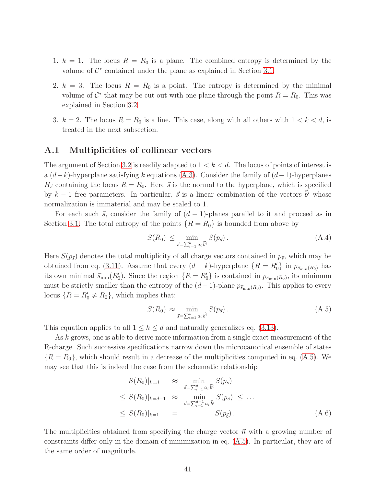- 1.  $k = 1$ . The locus  $R = R_0$  is a plane. The combined entropy is determined by the volume of  $\mathcal{C}^*$  contained under the plane as explained in Section [3.1.](#page-12-0)
- 2.  $k = 3$ . The locus  $R = R_0$  is a point. The entropy is determined by the minimal volume of  $\mathcal{C}^*$  that may be cut out with one plane through the point  $R = R_0$ . This was explained in Section [3.2.](#page-15-1)
- 3.  $k = 2$ . The locus  $R = R_0$  is a line. This case, along with all others with  $1 < k < d$ , is treated in the next subsection.

## <span id="page-42-0"></span>A.1 Multiplicities of collinear vectors

The argument of Section [3.2](#page-15-1) is readily adapted to  $1 < k < d$ . The locus of points of interest is a  $(d-k)$ -hyperplane satisfying k equations [\(A.3\)](#page-41-2). Consider the family of  $(d-1)$ -hyperplanes  $H_{\vec{s}}$  containing the locus  $R = R_0$ . Here  $\vec{s}$  is the normal to the hyperplane, which is specified by  $k-1$  free parameters. In particular,  $\vec{s}$  is a linear combination of the vectors  $\vec{b}^i$  whose normalization is immaterial and may be scaled to 1.

For each such  $\vec{s}$ , consider the family of  $(d-1)$ -planes parallel to it and proceed as in Section [3.1.](#page-12-0) The total entropy of the points  $\{R = R_0\}$  is bounded from above by

$$
S(R_0) \le \min_{\vec{s} = \sum_{i=1}^k a_i \, \vec{b}^i} S(p_{\vec{s}}).
$$
 (A.4)

Here  $S(p_{\vec{s}})$  denotes the total multiplicity of all charge vectors contained in  $p_{\vec{s}}$ , which may be obtained from eq. [\(3.11\)](#page-15-2). Assume that every  $(d - k)$ -hyperplane  $\{R = R'_0\}$  in  $p_{\vec{s}_{\min}(R_0)}$  has its own minimal  $\vec{s}_{min}(R'_0)$ . Since the region  $\{R = R'_0\}$  is contained in  $p_{\vec{s}_{min}(R_0)}$ , its minimum must be strictly smaller than the entropy of the  $(d-1)$ -plane  $p_{\vec{s}_{min}(R_0)}$ . This applies to every locus  $\{R = R'_0 \neq R_0\}$ , which implies that:

<span id="page-42-1"></span>
$$
S(R_0) \approx \min_{\vec{s}=\sum_{i=1}^k a_i \vec{b}^i} S(p_{\vec{s}}).
$$
 (A.5)

This equation applies to all  $1 \leq k \leq d$  and naturally generalizes eq. [\(3.13\)](#page-16-5).

As k grows, one is able to derive more information from a single exact measurement of the R-charge. Such successive specifications narrow down the microcanonical ensemble of states  ${R = R_0}$ , which should result in a decrease of the multiplicities computed in eq. [\(A.5\)](#page-42-1). We may see that this is indeed the case from the schematic relationship

$$
S(R_0)|_{k=d} \approx \min_{\vec{s}=\sum_{i=1}^d a_i \vec{b}^i} S(p_{\vec{s}})
$$
  
\n
$$
\leq S(R_0)|_{k=d-1} \approx \min_{\vec{s}=\sum_{i=1}^{d-1} a_i \vec{b}^i} S(p_{\vec{s}}) \leq \dots
$$
  
\n
$$
\leq S(R_0)|_{k=1} = S(p_{\vec{b}}).
$$
 (A.6)

The multiplicities obtained from specifying the charge vector  $\vec{n}$  with a growing number of constraints differ only in the domain of minimization in eq. [\(A.5\)](#page-42-1). In particular, they are of the same order of magnitude.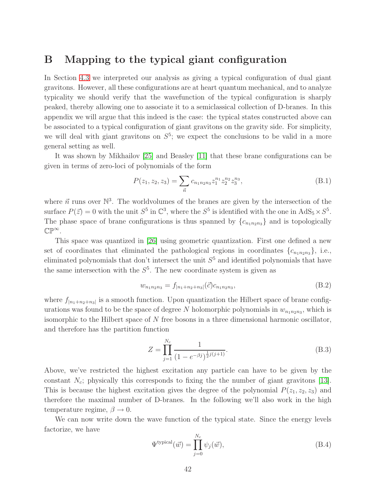# <span id="page-43-0"></span>B Mapping to the typical giant configuration

In Section [4.3](#page-35-0) we interpreted our analysis as giving a typical configuration of dual giant gravitons. However, all these configurations are at heart quantum mechanical, and to analyze typicality we should verify that the wavefunction of the typical configuration is sharply peaked, thereby allowing one to associate it to a semiclassical collection of D-branes. In this appendix we will argue that this indeed is the case: the typical states constructed above can be associated to a typical configuration of giant gravitons on the gravity side. For simplicity, we will deal with giant gravitons on  $S^5$ ; we expect the conclusions to be valid in a more general setting as well.

It was shown by Mikhailov [\[25\]](#page-48-10) and Beasley [\[11\]](#page-47-7) that these brane configurations can be given in terms of zero-loci of polynomials of the form

$$
P(z_1, z_2, z_3) = \sum_{\vec{n}} c_{n_1 n_2 n_3} z_1^{n_1} z_2^{n_2} z_3^{n_3},\tag{B.1}
$$

where  $\vec{n}$  runs over  $\mathbb{N}^3$ . The worldvolumes of the branes are given by the intersection of the surface  $P(\vec{z}) = 0$  with the unit  $S^5$  in  $\mathbb{C}^3$ , where the  $S^5$  is identified with the one in  $AdS_5 \times S^5$ . The phase space of brane configurations is thus spanned by  ${c_{n_1 n_2 n_3}}$  and is topologically  $\mathbb{CP}^{\infty}$ .

This space was quantized in [\[26\]](#page-48-11) using geometric quantization. First one defined a new set of coordinates that eliminated the pathological regions in coordinates  $\{c_{n_1n_2n_3}\}\$ , i.e., eliminated polynomials that don't intersect the unit  $S<sup>5</sup>$  and identified polynomials that have the same intersection with the  $S<sup>5</sup>$ . The new coordinate system is given as

<span id="page-43-1"></span>
$$
w_{n_1 n_2 n_3} = f_{|n_1 + n_2 + n_3|}(\vec{c}) c_{n_1 n_2 n_3}, \tag{B.2}
$$

where  $f_{|n_1+n_2+n_3|}$  is a smooth function. Upon quantization the Hilbert space of brane configurations was found to be the space of degree N holomorphic polynomials in  $w_{n_1 n_2 n_3}$ , which is isomorphic to the Hilbert space of N free bosons in a three dimensional harmonic oscillator, and therefore has the partition function

<span id="page-43-2"></span>
$$
Z = \prod_{j=1}^{N_c} \frac{1}{\left(1 - e^{-\beta j}\right)^{\frac{1}{2}j(j+1)}}.
$$
\n(B.3)

Above, we've restricted the highest excitation any particle can have to be given by the constant  $N_c$ ; physically this corresponds to fixing the the number of giant gravitons [\[13\]](#page-47-9). This is because the highest excitation gives the degree of the polynomial  $P(z_1, z_2, z_3)$  and therefore the maximal number of D-branes. In the following we'll also work in the high temperature regime,  $\beta \rightarrow 0$ .

We can now write down the wave function of the typical state. Since the energy levels factorize, we have

$$
\Psi^{\text{typical}}(\vec{w}) = \prod_{j=0}^{N_c} \psi_j(\vec{w}), \tag{B.4}
$$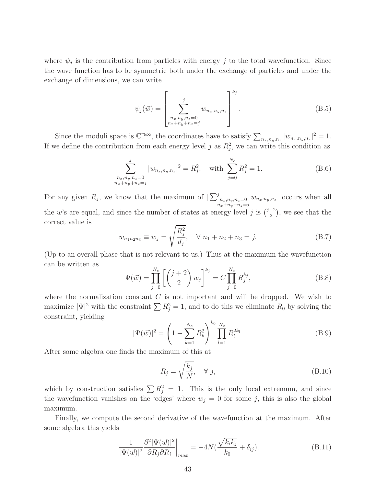where  $\psi_j$  is the contribution from particles with energy j to the total wavefunction. Since the wave function has to be symmetric both under the exchange of particles and under the exchange of dimensions, we can write

$$
\psi_j(\vec{w}) = \left[ \sum_{\substack{n_x, n_y, n_z = 0 \\ n_x + n_y + n_z = j}}^{j} w_{n_x, n_y, n_z} \right]^{k_j} .
$$
\n(B.5)

Since the moduli space is  $\mathbb{CP}^{\infty}$ , the coordinates have to satisfy  $\sum_{n_x,n_y,n_z} |w_{n_x,n_y,n_z}|^2 = 1$ . If we define the contribution from each energy level j as  $R_j^2$ , we can write this condition as

$$
\sum_{\substack{n_x, n_y, n_z = 0 \ n_x + n_y + n_z = j}}^j |w_{n_x, n_y, n_z}|^2 = R_j^2, \quad \text{with } \sum_{j=0}^{N_c} R_j^2 = 1.
$$
 (B.6)

For any given  $R_j$ , we know that the maximum of  $\sum_{n_x,n_y,n_z=0}^{j}$  $n_x+n_y+n_z=j$  $w_{n_x,n_y,n_z}$  occurs when all the w's are equal, and since the number of states at energy level j is  $\binom{j+2}{2}$  $\binom{+2}{2}$ , we see that the correct value is

$$
w_{n_1 n_2 n_3} \equiv w_j = \sqrt{\frac{R_j^2}{d_j}}, \quad \forall \ n_1 + n_2 + n_3 = j. \tag{B.7}
$$

(Up to an overall phase that is not relevant to us.) Thus at the maximum the wavefunction can be written as

$$
\Psi(\vec{w}) = \prod_{j=0}^{N_c} \left[ \binom{j+2}{2} w_j \right]^{k_j} = C \prod_{j=0}^{N_c} R_j^{k_j},\tag{B.8}
$$

where the normalization constant  $C$  is not important and will be dropped. We wish to maximize  $|\Psi|^2$  with the constraint  $\sum R_j^2 = 1$ , and to do this we eliminate  $R_0$  by solving the constraint, yielding

$$
|\Psi(\vec{w})|^2 = \left(1 - \sum_{k=1}^{N_c} R_k^2\right)^{k_0} \prod_{l=1}^{N_c} R_l^{2k_l}.
$$
\n(B.9)

After some algebra one finds the maximum of this at

$$
R_j = \sqrt{\frac{k_j}{N}}, \quad \forall j,
$$
\n(B.10)

which by construction satisfies  $\sum R_j^2 = 1$ . This is the only local extremum, and since the wavefunction vanishes on the 'edges' where  $w_j = 0$  for some j, this is also the global maximum.

Finally, we compute the second derivative of the wavefunction at the maximum. After some algebra this yields

$$
\frac{1}{|\Psi(\vec{w})|^2} \frac{\partial^2 |\Psi(\vec{w})|^2}{\partial R_j \partial R_i}\bigg|_{max} = -4N(\frac{\sqrt{k_i k_j}}{k_0} + \delta_{ij}).
$$
\n(B.11)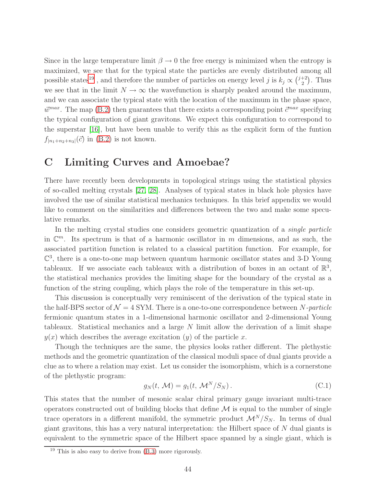Since in the large temperature limit  $\beta \to 0$  the free energy is minimized when the entropy is maximized, we see that for the typical state the particles are evenly distributed among all possible states<sup>[19](#page-45-1)</sup>, and therefore the number of particles on energy level j is  $k_j \propto \binom{j+2}{2}$  $\binom{+2}{2}$ . Thus we see that in the limit  $N \to \infty$  the wavefunction is sharply peaked around the maximum, and we can associate the typical state with the location of the maximum in the phase space,  $\vec{w}^{max}$ . The map [\(B.2\)](#page-43-1) then guarantees that there exists a corresponding point  $\vec{c}^{max}$  specifying the typical configuration of giant gravitons. We expect this configuration to correspond to the superstar [\[16\]](#page-48-1), but have been unable to verify this as the explicit form of the funtion  $f_{|n_1+n_2+n_3|}(\vec{c})$  in  $(B.2)$  is not known.

# <span id="page-45-0"></span>C Limiting Curves and Amoebae?

There have recently been developments in topological strings using the statistical physics of so-called melting crystals [\[27,](#page-48-12) [28\]](#page-48-13). Analyses of typical states in black hole physics have involved the use of similar statistical mechanics techniques. In this brief appendix we would like to comment on the similarities and differences between the two and make some speculative remarks.

In the melting crystal studies one considers geometric quantization of a single particle in  $\mathbb{C}^m$ . Its spectrum is that of a harmonic oscillator in m dimensions, and as such, the associated partition function is related to a classical partition function. For example, for  $\mathbb{C}^3$ , there is a one-to-one map between quantum harmonic oscillator states and 3-D Young tableaux. If we associate each tableaux with a distribution of boxes in an octant of  $\mathbb{R}^3$ , the statistical mechanics provides the limiting shape for the boundary of the crystal as a function of the string coupling, which plays the role of the temperature in this set-up.

This discussion is conceptually very reminiscent of the derivation of the typical state in the half-BPS sector of  $\mathcal{N} = 4$  SYM. There is a one-to-one correspondence between N-particle fermionic quantum states in a 1-dimensional harmonic oscillator and 2-dimensional Young tableaux. Statistical mechanics and a large N limit allow the derivation of a limit shape  $y(x)$  which describes the average excitation  $(y)$  of the particle x.

Though the techniques are the same, the physics looks rather different. The plethystic methods and the geometric quantization of the classical moduli space of dual giants provide a clue as to where a relation may exist. Let us consider the isomorphism, which is a cornerstone of the plethystic program:

<span id="page-45-2"></span>
$$
g_N(t, \mathcal{M}) = g_1(t, \mathcal{M}^N/S_N). \tag{C.1}
$$

This states that the number of mesonic scalar chiral primary gauge invariant multi-trace operators constructed out of building blocks that define  $\mathcal M$  is equal to the number of single trace operators in a different manifold, the symmetric product  $\mathcal{M}^N/S_N$ . In terms of dual giant gravitons, this has a very natural interpretation: the Hilbert space of N dual giants is equivalent to the symmetric space of the Hilbert space spanned by a single giant, which is

<span id="page-45-1"></span> $19$  This is also easy to derive from  $(B.3)$  more rigorously.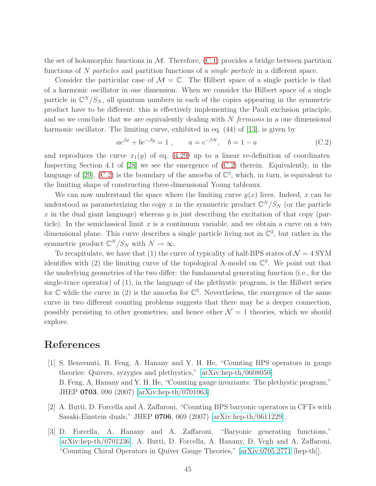the set of holomorphic functions in  $M$ . Therefore,  $(C.1)$  provides a bridge between partition functions of N particles and partition functions of a *single particle* in a different space.

Consider the particular case of  $\mathcal{M} = \mathbb{C}$ . The Hilbert space of a single particle is that of a harmonic oscillator in one dimension. When we consider the Hilbert space of a single particle in  $\mathbb{C}^N/S_N$ , all quantum numbers in each of the copies appearing in the symmetric product have to be different: this is effectively implementing the Pauli exclusion principle, and so we conclude that we are equivalently dealing with  $N$  fermions in a one dimensional harmonic oscillator. The limiting curve, exhibited in eq.  $(44)$  of [\[13\]](#page-47-9), is given by

<span id="page-46-3"></span>
$$
ae^{\beta x} + be^{-\beta y} = 1
$$
,  $a = e^{-\beta N}$ ,  $b = 1 - a$  (C.2)

and reproduces the curve  $x_1(y)$  of eq. [\(4.29\)](#page-29-0) up to a linear re-definition of coordinates. Inspecting Section 4.1 of [\[28\]](#page-48-13) we see the emergence of [\(C.2\)](#page-46-3) therein. Equivalently, in the language of  $[29]$ ,  $(C.2)$  is the boundary of the amoeba of  $\mathbb{C}^3$ , which, in turn, is equivalent to the limiting shape of constructing three-dimensional Young tableaux.

We can now understand the space where the limiting curve  $y(x)$  lives. Indeed, x can be understood as parameterizing the copy x in the symmetric product  $\mathbb{C}^N/S_N$  (or the particle x in the dual giant language) whereas  $y$  is just describing the excitation of that copy (particle). In the semiclassical limit  $x$  is a continuum variable, and we obtain a curve on a two dimensional plane. This curve describes a single particle living not in  $\mathbb{C}^2$ , but rather in the symmetric product  $\mathbb{C}^N/S_N$  with  $N \to \infty$ .

To recapitulate, we have that (1) the curve of typicality of half-BPS states of  $\mathcal{N} = 4$  SYM identifies with (2) the limiting curve of the topological A-model on  $\mathbb{C}^3$ . We point out that the underlying geometries of the two differ: the fundamental generating function (i.e., for the single-trace operator) of (1), in the language of the plethystic program, is the Hilbert series for  $\mathbb C$  while the curve in (2) is the amoeba for  $\mathbb C^3$ . Nevertheless, the emergence of the same curve in two different counting problems suggests that there may be a deeper connection, possibly persisting to other geometries, and hence other  $\mathcal{N} = 1$  theories, which we should explore.

# <span id="page-46-0"></span>References

- [1] S. Benvenuti, B. Feng, A. Hanany and Y. H. He, "Counting BPS operators in gauge theories: Quivers, syzygies and plethystics," [\[arXiv:hep-th/0608050\]](http://arXiv.org/abs/hep-th/0608050). B. Feng, A. Hanany and Y. H. He, "Counting gauge invariants: The plethystic program," JHEP 0703, 090 (2007) [\[arXiv:hep-th/0701063\]](http://arXiv.org/abs/hep-th/0701063).
- <span id="page-46-2"></span><span id="page-46-1"></span>[2] A. Butti, D. Forcella and A. Zaffaroni, "Counting BPS baryonic operators in CFTs with Sasaki-Einstein duals," JHEP 0706, 069 (2007) [\[arXiv:hep-th/0611229\]](http://arXiv.org/abs/hep-th/0611229).
- [3] D. Forcella, A. Hanany and A. Zaffaroni, "Baryonic generating functions," [\[arXiv:hep-th/0701236\]](http://arXiv.org/abs/hep-th/0701236). A. Butti, D. Forcella, A. Hanany, D. Vegh and A. Zaffaroni, "Counting Chiral Operators in Quiver Gauge Theories," [\[arXiv:0705.2771](http://arXiv.org/abs/0705.2771) [hep-th]].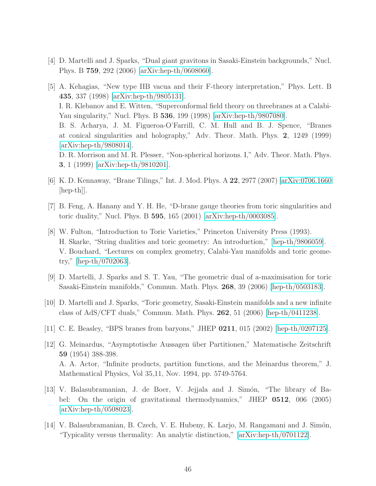- <span id="page-47-1"></span><span id="page-47-0"></span>[4] D. Martelli and J. Sparks, "Dual giant gravitons in Sasaki-Einstein backgrounds," Nucl. Phys. B 759, 292 (2006) [\[arXiv:hep-th/0608060\]](http://arXiv.org/abs/hep-th/0608060).
- [5] A. Kehagias, "New type IIB vacua and their F-theory interpretation," Phys. Lett. B 435, 337 (1998) [\[arXiv:hep-th/9805131\]](http://arXiv.org/abs/hep-th/9805131). I. R. Klebanov and E. Witten, "Superconformal field theory on threebranes at a Calabi-Yau singularity," Nucl. Phys. B 536, 199 (1998) [\[arXiv:hep-th/9807080\]](http://arXiv.org/abs/hep-th/9807080). B. S. Acharya, J. M. Figueroa-O'Farrill, C. M. Hull and B. J. Spence, "Branes at conical singularities and holography," Adv. Theor. Math. Phys. 2, 1249 (1999) [\[arXiv:hep-th/9808014\]](http://arXiv.org/abs/hep-th/9808014). D. R. Morrison and M. R. Plesser, "Non-spherical horizons. I," Adv. Theor. Math. Phys. 3, 1 (1999) [\[arXiv:hep-th/9810201\]](http://arXiv.org/abs/hep-th/9810201).
- <span id="page-47-3"></span><span id="page-47-2"></span>[6] K. D. Kennaway, "Brane Tilings," Int. J. Mod. Phys. A 22, 2977 (2007) [\[arXiv:0706.1660](http://arXiv.org/abs/0706.1660)  $\vert \text{hep-th} \vert$ .
- <span id="page-47-4"></span>[7] B. Feng, A. Hanany and Y. H. He, "D-brane gauge theories from toric singularities and toric duality," Nucl. Phys. B 595, 165 (2001) [\[arXiv:hep-th/0003085\]](http://arXiv.org/abs/hep-th/0003085).
- [8] W. Fulton, "Introduction to Toric Varieties," Princeton University Press (1993). H. Skarke, "String dualities and toric geometry: An introduction," [\[hep-th/9806059\]](http://arXiv.org/abs/hep-th/9806059). V. Bouchard, "Lectures on complex geometry, Calabi-Yau manifolds and toric geometry," [\[hep-th/0702063\]](http://arXiv.org/abs/hep-th/0702063).
- <span id="page-47-6"></span><span id="page-47-5"></span>[9] D. Martelli, J. Sparks and S. T. Yau, "The geometric dual of a-maximisation for toric Sasaki-Einstein manifolds," Commun. Math. Phys. 268, 39 (2006) [\[hep-th/0503183\]](http://arXiv.org/abs/hep-th/0503183).
- <span id="page-47-7"></span>[10] D. Martelli and J. Sparks, "Toric geometry, Sasaki-Einstein manifolds and a new infinite class of AdS/CFT duals," Commun. Math. Phys. 262, 51 (2006) [\[hep-th/0411238\]](http://arXiv.org/abs/hep-th/0411238).
- <span id="page-47-8"></span>[11] C. E. Beasley, "BPS branes from baryons," JHEP 0211, 015 (2002) [\[hep-th/0207125\]](http://arXiv.org/abs/hep-th/0207125).
- [12] G. Meinardus, "Asymptotische Aussagen ¨uber Partitionen," Matematische Zeitschrift 59 (1954) 388-398. A. A. Actor, "Infinite products, partition functions, and the Meinardus theorem," J. Mathematical Physics, Vol 35,11, Nov. 1994, pp. 5749-5764.
- <span id="page-47-9"></span>[13] V. Balasubramanian, J. de Boer, V. Jejjala and J. Simón, "The library of Babel: On the origin of gravitational thermodynamics," JHEP 0512, 006 (2005) [\[arXiv:hep-th/0508023\]](http://arXiv.org/abs/hep-th/0508023).
- <span id="page-47-10"></span>[14] V. Balasubramanian, B. Czech, V. E. Hubeny, K. Larjo, M. Rangamani and J. Simón, "Typicality versus thermality: An analytic distinction," [\[arXiv:hep-th/0701122\]](http://arXiv.org/abs/hep-th/0701122).